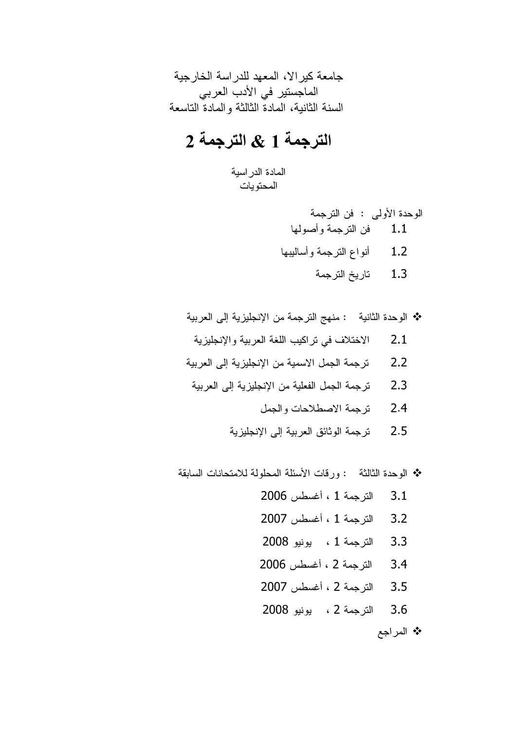جامعة كير الا، المعهد للدر اسة الخارجية الماجستير في الأدب العربي السنة الثانية، المادة الثالثة والمادة التاسعة

# الترجمة 1 & الترجمة 2

المادة الدر اسية المحتويات

> الوحدة الأولى : فن الترجمة 1.1 فن الترجمة وأصولها

- 1.2 أنواع النرجمة وأساليبها
	- 1.3 تاريخ الترجمة

\* الوحدة الثانية : منهج الترجمة من الإنجليزية إلى العربية

- 2.1 الاختلاف في تراكيب اللغة العربية والإنجليزية
- 2.2 ترجمة الجمل الاسمية من الإنجليزية إلى العربية
	- 2.3 ترجمة الجمل الفعلية من الإنجليزية إلى العربية
		- 2.4 ترجمة الاصطلاحات والجمل
		- 2.5 ترجمة الوثائق العربية إلى الإنجليزية

❖ الوحدة الثالثة : ورقات الأسئلة المحلولة للامتحانات السابقة

- 3.1 الترجمة 1 ، أغسطس 2006 3.2 الترجمة 1 ، أغسطس 2007 3.3 الترجمة 1 ، يونيو 2008
- 3.4 الترجمة 2 ، أغسطس 2006
- 3.5 الترجمة 2 ، أغسطس 2007
- 3.6 الترجمة 2 ، يونيو 2008

\* المراجع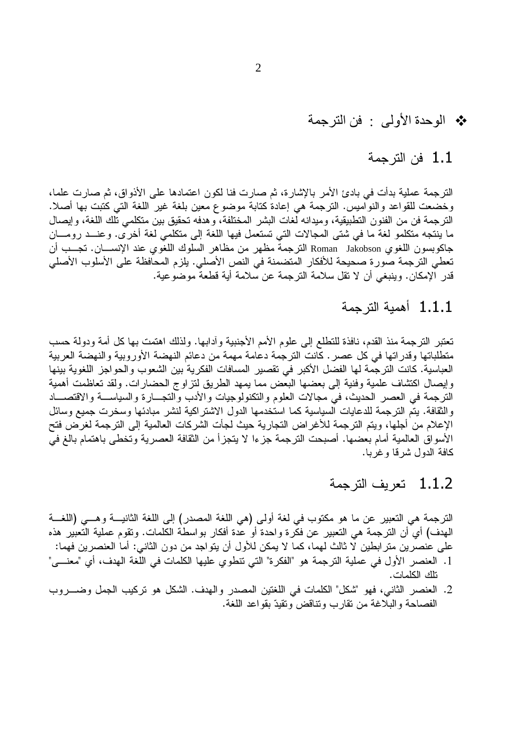# \* الوحدة الأولى : فن الترجمة

### 1.1 فن الترجمة

الترجمة عملية بدأت في بادئ الأمر بالإشارة، ثم صارت فنا لكون اعتمادها على الأذواق، ثم صارت علما، وخضعت للقواعد والنواميس. الترجمة هي إعادة كتابة موضوع معين بلغة غير اللغة التي كتبت بها أصلا. الترجمة فن من الفنون النطبيقية، وميدانه لَّغات البشر المختلفة، وهدفه تحقيق بين متكلمي تُلك اللغة، وإيصال ما ينتجه متكلمو لغة ما في شتى المجالات التي تستعمل فيها اللغة إلى متكلمي لغة أخرى. وعنــد رومـــان جاكوبسون اللغوي Roman Jakobson الترجمة مظهر من مظاهر السلوك اللغوي عند الإنســــان. تجـــب أن تعطي الترجمة صورة صحيحة للأفكار المتضمنة في النص الأصلي. يلزم المحافظة على الأسلوب الأصلي قدر الإمكان. وينبغي أن لا نقل سلامة الترجمة عن سلامة أية قطعة موضوعية.

## 1.1.1 أهمية الترجمة

تعتبر الترجمة منذ القدم، نافذة للتطلع إلى علوم الأمم الأجنبية وأدابها. ولذلك اهتمت بها كل أمة ودولة حسب متطلباتها وقدراتها في كل عصر . كانت الترجمة دعامة مهمة من دعائم النهضة الأوروبية والنهضة العربية العباسية. كانت الترجمة لها الفضل الأكبر في تقصير المسافات الفكرية بين الشعوب والحواجز اللغوية بينها وإيصال اكتشاف علمية وفنية إلى بعضها البعض مما يمهد الطريق لنز اوج الحضار ات. ولقد تعاظمت أهمية الترجمة في العصر الحديث، في مجالات العلوم والتكنولوجيات والأدب والتجـــارة والسياســـة والاقتصــــاد والنقافة. يتم الترجمة للدعايات السياسية كما استخدمها الدول الاشتراكية لنشر مبادئها وسخرت جميع وسائل الإعلام من أجلها، ويتم الترجمة للأغراض النجارية حيث لجأت الشركات العالمية إلى الترجمة لغرَّض فتح الأسواق العالمية أمام بعضها. أصبحت الترجمة جزءا لا يتجزأ من الثقافة العصرية وتخطى باهتمام بالغ في كافة الدول شرقا وغربا.

# 1.1.2 تعريف الترجمة

الترجمة هي التعبير عن ما هو مكتوب في لغة أولى (هي اللغة المصدر) إلى اللغة الثانيـــة وهـــي (اللغـــة المهدف) أي أن الترجمة هي التعبير عن فكرة واحدة أو عدة أفكار بواسطة الكلمات. وتقوم عملية التعبير هذه على عنصرين متر ابطين لا ثالث لهما، كما لا يمكن للأول أن يتواجد من دون الثاني: أما العنصرين فهما: 1. العنصر الأول في عملية الترجمة هو "الفكرة" التي تنطوي عليها الكلمات في اللغة الهدف، أي "معنـــي" نلك الكلمات.

2. العنصر الثاني، فهو "شكل" الكلمات في اللغتين المصدر والهدف. الشكل هو تركيب الجمل وضــــروب الفصاحة والبلاغة من تقارب وتناقض وتقيدّ بقواعد اللغة.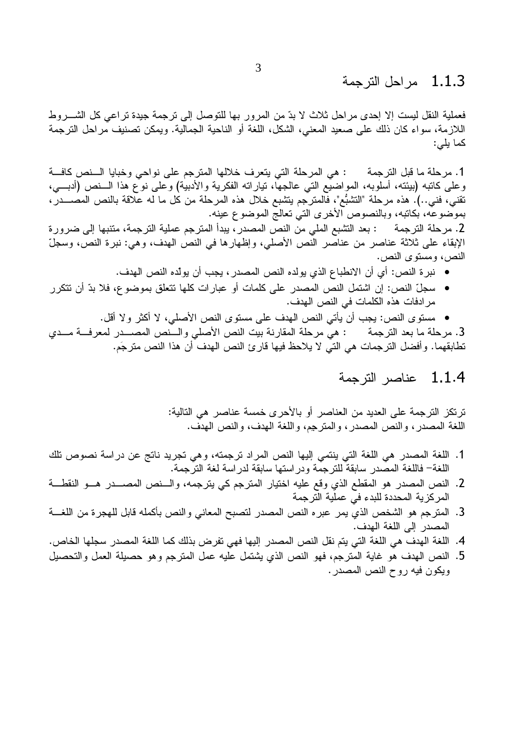#### مر احل التر جمة - 1.1.3

فعملية النقل ليست إلا إحدى مراحل ثلاث لا بدّ من المرور بها للتوصل إلى ترجمة جيدة تراعي كل الشــــروط اللازمة، سواء كان ذلك على صعيد المعنى، الشكل، اللغة أو الناحية الجمالية. ويمكن تصنيف مراحل الترجمة كما يلي:

1. مرحلة ما قبل الترجمة : هي المرحلة التي يتعرف خلالها المترجم على نواحي وخبايا الـــنص كافـــة وعلى كاتبه (بيئته، أسلوبه، المواضيع التي عالجها، تياراته الفكرية والأدبية) وعلى نوع هذا الـــنص (أدبــــي، تقنى، فني..). هذه مرحلة "التشبُّع"، فالمترجم يتشبع خلال هذه المرحلة من كل ما له علاقة بالنص المصـــدر ، بموضوعَه، بكانبه، وبالنصوص الأخرى التي نعالج الموضوع عينه.

2. مرحلة الترجمة : بعد التثبع الملي من النص المصدر ، يبدأ المترجم عملية الترجمة، متنبها إلى ضرورة الإبقاء على ثلاثة عناصر من عناصر النّص الأصلي، وإظهارها في النص الهدف، وهي: نبرة النص، وسجلّ النص، ومستوى النص.

- نبر ة النص: أي أن الانطباع الذي يولده النص المصدر ، يجب أن يولِّده النص الهدف.
- سجلِّ النص: إن اشتمل النص المصدر على كلمات أو عبارات كلها تتعلق بموضوع، فلا بدّ أن تتكرر مر ادفات هذه الكلمات في النص الهدف.

• مستوى النص: يجب أن يأتي النص الهدف على مستوى النص الأصلي، لا أكثر ولا أقل. 3. مرحلة ما بعد الترجمة : هي مرحلة المقارنة بيت النص الأصلي والـــنص المصــــدر لمعرفـــة مـــدي تطابقهما. وأفضل الترجمات هي التي لا يلاحظ فيها قارئ النص الهدف أن هذا النص مترجَم.

### 1.1.4 عناصر الترجمة

ترتكز الترجمة على العديد من العناصر أو بالأحرى خمسة عناصر هي التالية: اللغة المصدر ، والنص المصدر ، والمنزجم، واللغة الهدف، والنص الهدف.

- 1. اللغة المصدر هي اللغة التي ينتمي إليها النص المراد ترجمته، وهي تجريد ناتج عن دراسة نصوص تلك اللغة— فاللغة المصدر سابقة للتر جمة و در استها سابقة لدر اسة لغة التر جمة.
- 2. النص المصدر هو المقطع الذي وقع عليه اختيار المنزجم كي ينزجمه، والسنص المصسدر هسو النقطـــة المركزية المحددة للبدء في عملية الترجمة
- 3. المنزجم هو الشخص الذي يمر عبره النص المصدر لنصبح المعاني والنص بأكمله قابل للهجرة من اللغـــة المصدر إلى اللغة الهدف.
- 4. اللغة الهدف هي اللغة التي يتم نقل النص المصدر إليها فهي تفرض بذلك كما اللغة المصدر سجلها الخاص.
- 5. النص الهدف هو غاية المترجم، فهو النص الذي يشتمل عليه عمل المترجم وهو حصيلة العمل والتحصيل ويكون فيه روح النص المصدر .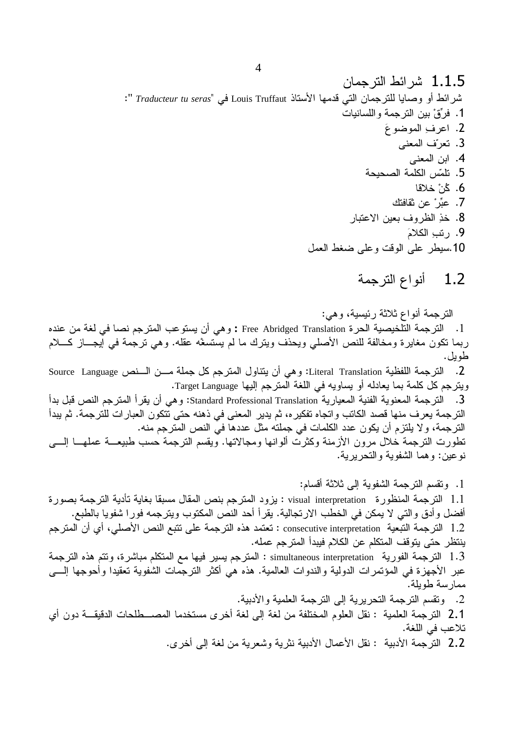#### أنواع الترجمة  $1.2$

الترجمة أنواع ثلاثة رئيسية، وهي:

1. الترجمة التلخيصية الحرة Free Abridged Translation : وهي أن يستوعب المترجم نصا في لغة من عنده ربما نكون مغايرة ومخالفة للنص الأصلي ويحذف ويترك ما لم يستسغه عقله. وهي نرجمة في أيجـــاز كــــلام طوبل.

2. النرجمة اللفظية Literal Translation: وهي أن ينتاول المترجم كل جملة مـــن الـــنص Source Language ويترجم كل كلمة بما يعادله أو يساويه في اللغة المترجم إليها Target Language. 3. الترجمة المعنوية الفنية المعيارية Standard Professional Translation: وهي أن يقرأ المترجم النص قبل بدأ الترجمة يعرف منها قصد الكاتب واتجاه تفكيره، ثم يدير المعنى في ذهنه حتى تتكون العبارات للترجمة. ثم يبدأ الترجمة، ولا يلتزم أن يكون عدد الكلمات في جملته مثل عددها فيّ النص المترجم منه. تطورت الترجمة خلال مرون الأزمنة وكثرت ألوانها ومجالاتها. ويقسم الترجمة حسب طبيعـــة عملهـــا إلــــى نوعين: وهما الشفوية والتحريرية.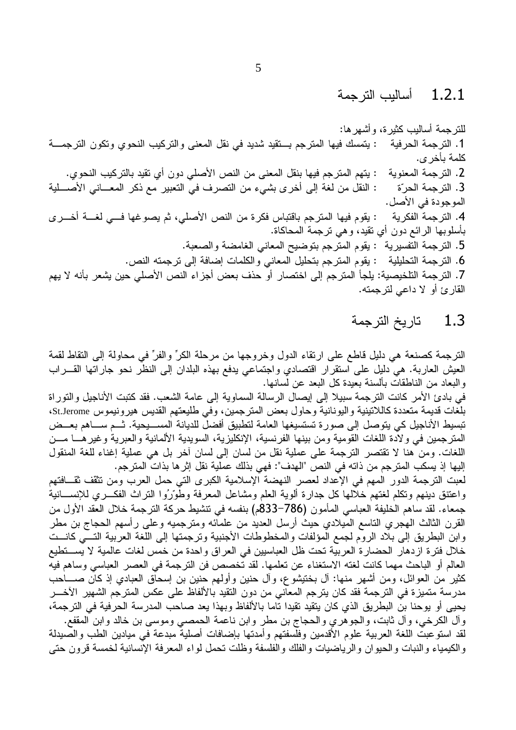#### $1.2.1$ أساليب التر جمة

للنرجمة أساليب كثيرة، وأشهرها: 1. الترجمة الحرفية : يتمسك فيها المترجم بـــتقيد شديد في نقل المعنى والتركيب النحوي ونكون الترجمـــة كلمة بأخر ي. 2. الترجمة المعنوية : يتهم المترجم فيها بنقل المعنى من النص الأصلي دون أي تقيد بالتركيب النحوي. : النقل من لغة إلى أخرى بشيء من النصرف في النعبير مع ذكر المعـــاني الأصــــلية 3. التر جمة الحرّة الموجودة في الأصل. : يقوم فيها المترجم باقتباس فكرة من النص الأصلي، ثم يصوغها فسى لغسة أخسري 4. التر جمة الفكر ية بأسلوبها الرائع دون أي نقيد، وهي نرجمة المحاكاة. 5. الترجمة التفسيرية : يقوم المترجم بتوضيح المعاني الغامضة والصعبة. : يقوم المنزجم بتحليل المعاني والكلمات إضافة إلى نزجمته النص. 6. الترجمة التحليلية 7. الترجمة التلخيصية: يلجأ المترجم إلى اختصار أو حذف بعض أجزاء النص الأصلي حين يشعر بأنه لا يهم القارئ أو لا داعي لترجمته.

#### $1.3$ تاريخ الترجمة

الترجمة كصنعة هي دليل قاطع على ارتقاء الدول وخروجها من مرحلة الكرِّ والفرِّ في محاولة إلى التقاط لقمة العيش العاربة. هي دليل على استقرار اقتصادي واجتماعي يدفع بهذه البلدان إلى النظر نحو جاراتها القـــراب والبعاد من الناطقات بألسنة بعيدة كل البعد عن لسانها.

في بادئ الأمر كانت الترجمة سبيلا إلى إيصال الرسالة السماوية إلى عامة الشعب. فقد كتبت الأناجيل والتوراة بلغات قديمة متعددة كاللاتينية واليونانية وحاول بعض المترجمين، وفي طليعتهم القديس هيرونيموس St.Jerome، تبسيط الأناجيل كي يتوصل إلى صورة تستسيغها العامة لتطبيق أفضلَ للديانة المســـيحية. ثـــم ســــاهم بعـــض المترجمين في ولادة اللغات القومية ومن بينها الفرنسية، الإنكليزية، السويدية الألمانية والعبرية وغيرهـــا مـــن اللغات. ومن هنا لا تقتصر الترجمة على عملية نقل من لسان إلى لسان أخر بل هي عملية إغناء للغة المنقول إليها إذ يسكب المترجم من ذاته في النص "الهدف": فهي بذلك عملية نقل إثر ها بذات ّ المترجم.

لعبت الترجمة الدور المهم في الإعداد لعصر النهضة الإسلامية الكبرى التي حمل العرب ومن تثقف ثقــافتهم واعتنق دينهم ونكلم لغتهم خلالها كل جدارة ألوية العلم ومشاعل المعرفة وطوّرُوا النراث الفكـــري للإنســـانية جمعاء. لقد ساهم الخليفة العباسي المأمون (786–833م) بنفسه في نتشيط حركة الترجمة خلال العقد الأول من القرن الثالث الهجري التاسع المُبلادي حيث أرسل العديد من علمائه ومترجميه وعلى رأسهم الحجاج بن مطر وابن البطريق إلى بلاد الروم لجمع المؤلفات والمخطوطات الأجنبية وترجمتها إلى اللغة العربية التسي كانست خلال فترة ازدهار الحضارة العربية تحت ظل العباسيين في العراق واحدة من خمس لغات عالمية لا يســـتطيع العالم أو الباحث مهما كانت لغته الاستغناء عن تعلمها. لقد تخصص فن الترجمة في العصر العباسي وساهم فيه كثير من العوائل، ومن أشهر منها: أل بختيشوع، وأل حنين وأولهم حنين بن إسحاق العبادي إذ كان صــــاحب مدرسة منميزة في الترجمة فقد كان يترجم المعاني من دون النقيد بالألفاظ على عكس المترجم الشهير الآخـــر يحيى أو يوحنا بن البطريق الذي كان يتقيد نقيدا ناما بالألفاظ وبهذا يعد صاحب المدرسة الحرفية في الترجمة، وآل الكرخي، وآل ثابت، والجوهري والحجاج بن مطرٍ وابن ناعمة الحمصبي وموسى بن خالد وابن المقفع. لقد استوعبت اللغة العربية علوم الأقدمين وفلسفتهم وأمدتها بإضافات أصلية مبدعة في ميادين الطب والصيدلة والكيمياء والنبات والحيوان والرياضيات والفلك والفلسفة وظلت تحمل لواء المعرفة الإنسانية لخمسة قرون حتى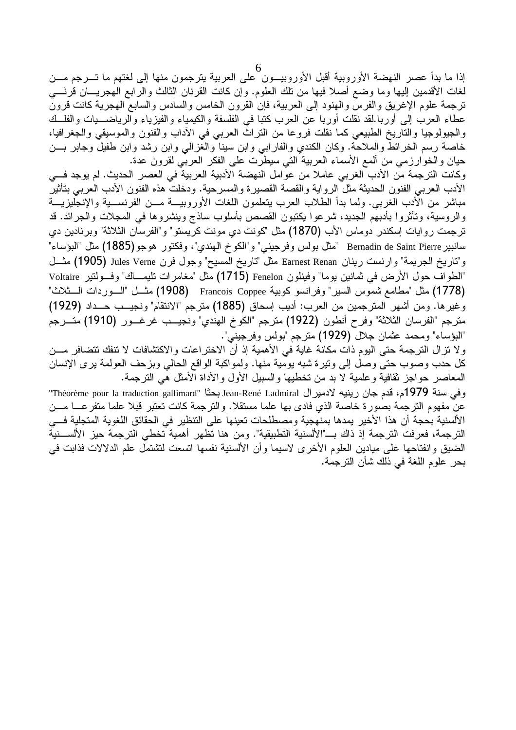6<br>إذا ما بدأ عصر النهضة الأوروبية أقبل الأوروبيـــون علـى العربية يترجمون منها إلـى لغتهم ما تــــرجم مــــن لغات الأقدمين إليها وما وضع أصلا فيها من نلك العلوم. وإن كانت القرنان الثالث والرابع الهجريـــان قرنَـــي ترجمة علوم الإغريق والفرس والهنود إلىى العربية، فإن القرون الخامس والسادس والسابع الـهجرية كانت قرون عطاء العرب إلى أوربا.لقد نقلت أوربا عن العرب كتبا في الفلسفة والكيمياء والفيزياء والرياضـــيات والفلـــك والجيولوجيا والتاريخ الطبيعي كما نقلت فروعا من النراث العربي في الأداب والفنون والموسيقى والجغرافيا، خاصة رسم الخرائط والملاحة. وكان الكندي والفارابي وابن سينا والغزالي وابن رشد وابن طفيل وجابر بـــن حيان والخوارزمي من ألمع الأسماء العربية التي سيطرت على الفكر العربي لقرون عدة.

وكانت الترجمة من الأدب الغربي عاملا من عوامل النهضة الأدبية العربية في العصر الحديث. لم يوجد فسي الأدب العربي الفنون الحديثة مثل الرواية والقصة القصيرة والمسرحية. ودخلت هذه الفنون الأدب العربي بتأثير مباشر من الأدب الغربي. ولما بدأ الطلاب العرب يتعلمون اللغات الأوروبيـــة مـــن الفرنســـية والإنـجليزيـــة والروسية، وتأثَّروا بأدبهم الجديد، شرعوا يكتبون القصص بأسلوب ساذج وينشروها في المجلات والجرائد. قد ترجمت روايات اِسكندر دوماس الأب (1870) مثل "كونت دي مونت كريستو" و"الفرسان الثلاثة" وبرنادين دي سانبير Bernadin de Saint Pierre "مثل بولس وفرجيني" و"الكوخ الهندي"، وفكتور هوجو (1885) مثل "البؤساء" و"تاريخ الجريمة" وارنست رينان Earnest Renan مثل "تاريخ المسيح" وجول فرن Jules Verne (1905) مثسل "الطواف حول الأرض في ثمانين يوما" وفينلون Fenelon (1715) مثل "مغامرات تليمــاك" وفــولنير Voltaire (1778) مثل "مطامع شموس السير" وفرانسو كوبية Francois Coppee (1908) مثـــل "الـــوردات الــــثلاث" وغيرها. ومن أشهر المترجمين من العرب: أديب إسحاق (1885) مترجم "الانتقام" ونجيــب حــداد (1929) مترجم "الفرسان الثلاثة" وفرح أنطون (1922) مترجم "الكوخ الهندي" ونجيــب غرغـــور (1910) متـــرجم "البؤساء" ومحمد عثمان جلال (1929) مترجع "بولس وفرجيني".

ولا نزال الترجمة حتى اليوم ذات مكانة غاية في الأهمية إذ أن الاختراعات والاكتشافات لا تنفك تتضافر مـــن كل حدب وصوب حتى وصل إلى ونيرة شبه يومية منها. ولمواكبة الواقع الحالي وبزحف العولمة يرى الإنسان المعاصر حواجز ثقافية وعلمية لا بد من تخطيها والسبيل الأول والأداة الأمثل هي الترجمة.

وفي سنة 1979م، قدم جان رينيه لادمير ال Jean-René Ladmiral بحثًا "Théorème pour la traduction gallimard" عن مفهوم الترجمة بصورة خاصة الذي فادي بها علما مستقلا. والترجمة كانت تعتبر قبلا علما متفرعــــا مـــن الألسنية بحجة أن هذا الأخير يمدها بمنهجية ومصطلحات تعينها على التنظير في الحقائق اللغوية المتجلية فسي الترجمة، فعرفت الترجمة إذ ذاك بــــ"الألسنية التطبيقية". ومن هنا تظهر أهمية تخطى الترجمة حيز الألســـنية الضيق وانفتاحها على ميادين العلوم الأخرى لاسيما وأن الألسنية نفسها اتسعت لتشتمل علم الدلالات فذابت في بحر علوم اللغة في ذلك شأن الترجمة.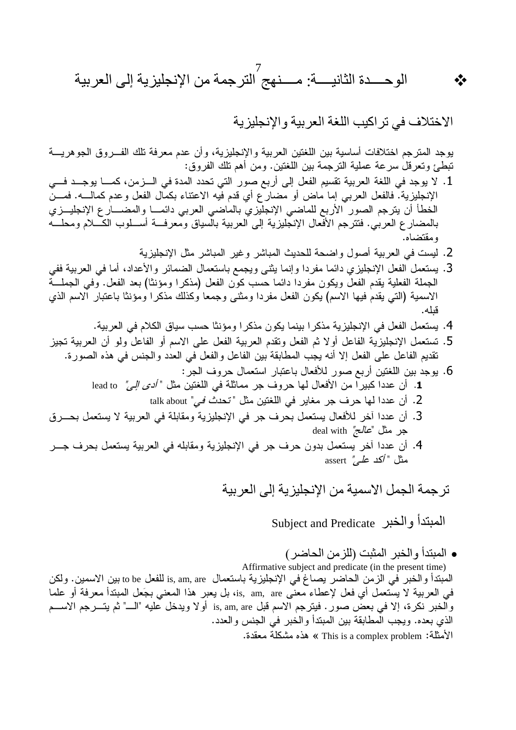الوحـــــدة الثانيـــــة: مـــــنـهج الترجمة من الإنجليزية إلى العربية

الاختلاف في تر اكيب اللغة العربية والإنجليزية

 $\frac{1}{2}$ 

يوجد المترجم اختلافات أساسية بين اللغتين العربية والإنجليزية، وأن عدم معرفة تلك الفـــروق الجوهريـــة تبطئ وتعرَّفل سرعة عملية الترجمة بين اللغتين. ومن أهم تلك الفروق:

- 1. لا يوجد في اللغة العربية تقسيم الفعل إلى أربع صور التي تحدد المدة في الـــزمن، كمــــا يوجـــد فـــي الإنجليزية. فالفعل العربـي إما ماض أو مضارع أي قدم فيه الاعتناء بكمال الفعل وعدم كمالـــه. فمــــنُ الخطأ أن يترجم الصور الأربع للماضي الإنجليزي بالماضي العربي دائمـــا والمضــــار ع الإنجليـــزي بالمضارع العربي. فتترجم الأفعال الإنجليزية إلى العربية بالسياق ومعرفة أســلوب الكـــلام ومحلـــه ومقتضاه.
	- 2. ليست في العربية أصول واضحة للحديث المباشر وغير المباشر مثل الإنجليزية
- 3. يستعمل الفعل الإنجليزي دائما مفردا وإنما يثنى ويجمع باستعمال الضمائر والأعداد، أما في العربية ففي الجملة الفعلية يقدم الفعل ويكون مفردا دائما حسب كوِّن الفعل (مذكر ا ومؤنثًا) بعد الفعل. وفي الجملـــة الاسمية (التبي يقدم فيها الاسم) يكون الفعل مفردا ومثنى وجمعا وكذلك مذكرا ومؤنثا باعتبار الاسم الذي قىلە.
	- 4. يستعمل الفعل في الإنجليزية مذكرا بينما يكون مذكرا ومؤنثا حسب سياق الكلام في العربية.
- 5. تستعمل الإنجليزية الفاعل أولا ثم الفعل وتقدم العربية الفعل على الاسم أو الفاعل ولو أن العربية تجيز تقديم الفاعل على الفعل إلا أنه يجب المطابقة بين الفاعل والفعل في العدد والجنس في هذه الصورة.
	- 6. يوجد بين اللغتين أربع صور للأفعال باعتبار استعمال حروف الجر: 1. أن عددا كبيراً من الأفعال لها حروف جر مماثلة في اللغتين مثل " *أدى إلى"* bead to
		- 2. أن عددا لها حرف جر مغاير في اللغتين مثل "تح*دث في*" talk about
- 3. أن عددا آخر للأفعال يستعمل بحرف جر في الإنجليزية ومقابلة في العربية لا يستعمل بحـــرق جر مثل "*عالج"* deal with
- 4. أن عددا أخر يستعمل بدون حرف جر في الإنجليزية ومقابله في العربية يستعمل بحرف جـــر مثل " *أكد علي"* assert
	- تر جمة الجمل الاسمبة من الانجلبز بـة إلـي العر ببـة

المبتدأ والخبر Subject and Predicate

• المبتدأ والخبر المثبت (للزمن الحاضر ) Affirmative subject and predicate (in the present time) المبتدأ والخبر في الزمن الحاضر يصاغ في الإنجليزية باستعمال is, am, are للفعل to be بين الاسمين. ولكن في العربية لا يستعمل أي فعل لإعطاء معنى is, am, are، بل يعبر هذا المعنى بجَعل المبتدأ معرفة أو علما والخبر نكرة، إلا في بعض صور . فيترجم الاسم قبل is, am, are أولا ويدخل عليه "الــــ" ثم يتـــرجم الاســـم الذي بعده. ويجب المطابقة بين المبتدأ والخبر في الجنس والعدد. الأمثلة: This is a complex problem » هذه مشكلة معقدة.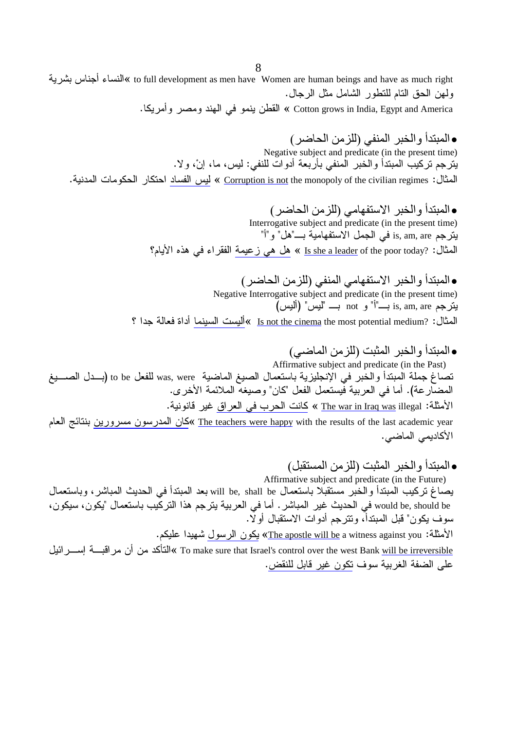to full development as men have Women are human beings and have as much right »النساء أجناس بشر ية ولهن الحق التام للتطور الشامل مثل الرجال.

Cotton grows in India, Egypt and America » القطن ينمو في الهند ومصر وأمريكا.

• المبتدأ والخبر المنفى (للزمن الحاضر ) Negative subject and predicate (in the present time) يترجم تركيب المبتدأ والخبر المنفي بأربعة أدوات للنفي: ليس، ما، إنْ، ولا. المثال: Corruption is not the monopoly of the civilian regimes » ليس الفساد احتكار الحكومات المدنية.

> • المبتدأ و الخبر الاستفهامي (للزمن الحاضر ) Interrogative subject and predicate (in the present time) يترجم is, am, are في الجمل الاستفهامية بـــ"هل" و"أ" المثال: she a leader of the poor today? مل هي زعيمة الفقراء في هذه الأيام؟

• المبتدأ والخبر الاستفهامي المنفي (للزمن الحاضر) Negative Interrogative subject and predicate (in the present time) يترجم is, am, are بــــ"أ" و not بــــ "ليس" (أليس) المثال: Is not the cinema the most potential medium? ] »أليست السينما أداة فعالة جدا ؟

- المبتدأ و الخبر المثبت (للز من الماضي) Affirmative subject and predicate (in the Past) تصاغ جملة المبتدأ والخُبر في الإنجليزية باستعمال الصيغ الماضية was, were للفعل to be (بـــدل الصــــيغ المضارعة). أما في العربية فيستعمل الفعل "كان" وصيغه الملائمة الأخر ي. الأمثلة: The war in Iraq was illegal » كانت الحرب في العراق غير قانونية. The teachers were happy with the results of the last academic year »كان المدرسون مسرورين بنتائج العام الأكاديمي الماضي.
- المبتدأ والخبر المثبت (للزمن المستقبل) Affirmative subject and predicate (in the Future) يصـاغ تركيب المبندأ والخبّر مستقبّلا بـاستعمال will be, shall be بعد المبندأ في الحديث المباشر ، وبـاستعمال would be, should be في الحديث غير المباشر . أما في العربية يترجم هذا التركيب باستعمال "يكون، سيكون، سوف يكون" قبل المبتدأ، وتترجم أدوات الاستقبال أولًا.

الأمثلة: The apostle will be a witness against you» يكون الرسول شهيدا عليكم.

To make sure that Israel's control over the west Bank <u>will be irreversible</u> »النتأكد من أن مراقبسة إسسرائيل على الضفة الغربية سوف تكون غير قابل للنقض.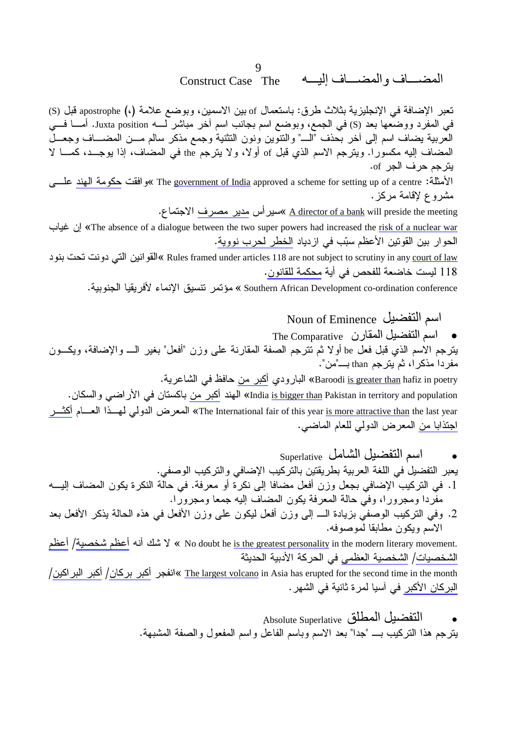#### 9 المضساف والمضساف إليسه **Construct Case The**

تعبر الإضافة في الإنجليزية بثلاث طرق: باستعمال of بين الاسمين، وبوضع علامة (،) apostrophe قبل (S) في المفرد ووضعها بعد (S) في الجمع، وبوضع اسم بجانب اسم أخر مباشر لــــه Juxta position. أمــــا فــــي العربية يضاف اسم إلى أخر بُحذف "الــــ" والنتوين ونون النثنية وجمع مذكر سالم مـــن المضــــاف وجعـــلّ المضاف إليه مكسورًا. ويترجم الاسم الذي قبل of أولا، ولا يترجم the في المضاف، إذا يوجــد، كمـــا لا يترجم حرف الجر of.

الأمثلة: The government of India approved a scheme for setting up of a centre »و افقت حكومة الهند علسى مشروع لإقامة مركز .

<u>A director of a bank</u> will preside the meeting »سير أس مدير مصرف الاجتماع.

The absence of a dialogue between the two super powers had increased the risk of a nuclear war إن غياب الحوار بين القوتين الأعظم سبّب في از دياد الخطر لحرب نووية.

Rules framed under articles 118 are not subject to scrutiny in any <u>court of law</u> »القوانين التي دونت تحت بنود 118 ليست خاضعة للفحص في أية محكمة للقانون.

Southern African Development co-ordination conference » مؤتمر نتسبق الإنماء لأفريقيا الجنوبية.

Noun of Eminence اسم التفضيل

The Comparative أسم التفضيل المقارن يترجم الاسم الذي قبل فعل be أولا ثم تترجم الصفة المقارنة على وزن "أفعل" بغير الــــ والإضافة، ويكـــون مفردا مذكر ا، ثم يترجم than بـــــ"من". Baroodi <u>is greater than</u> hafiz in poetry» البارودي أ<u>ك</u>بر من حافظ في الشاعرية. India <u>is bigger than</u> Pakistan in territory and population» الهند أكبر من باكستان في الأر اضبي والسكان. The International fair of this year <u>is more attractive than</u> the last year» المعرض الدولمي لمهـــذا العــــام أكثــــر اجتذابا من المعرض الدولي للعام الماضي.

- اسم التفضيل الشامل Superlative  $\bullet$ يعبر التفضيل في اللغة العربية بطريقتين بالتركيب الإضافى والتركيب الوصفى. 1. في التركيب الإضافي بجعل وزن أفعل مضافا إلى نكرة أو معرفة. في حالة النكرة يكون المضاف إليـــه مفَرَّدا ومجرور ا، وفيَّ حالة المعرفة يكون المضاف إليه جمعا ومجرورًا. 2. وفي التركيب الوصفي بزيادة الـــ إلى وزن أفعل ليكون على وزن الأفعل في هذه الحالة يذكر الأفعل بعد
- الإسم وبكون مطابقا لموصوفه. كا شك أنه أعظم شخصية/ أعظم " Wo doubt he <u>is the greatest personality</u> in the modern literary movement. الشخصيات/ الشخصية العظمى في الحركة الأدبية الحديثة

The largest volcano in Asia has erupted for the second time in the month »انفجر أكبر بركان/ أكبر البراكين/ البركان الأكبر في آسيا لمرة ثانية في الشهر .

> Absolute Superlative فاAbsolute Superlative يترجم هذا النركيب بـــ "جدا" بعد الاسم وباسم الفاعل واسم المفعول والصفة المشبهة.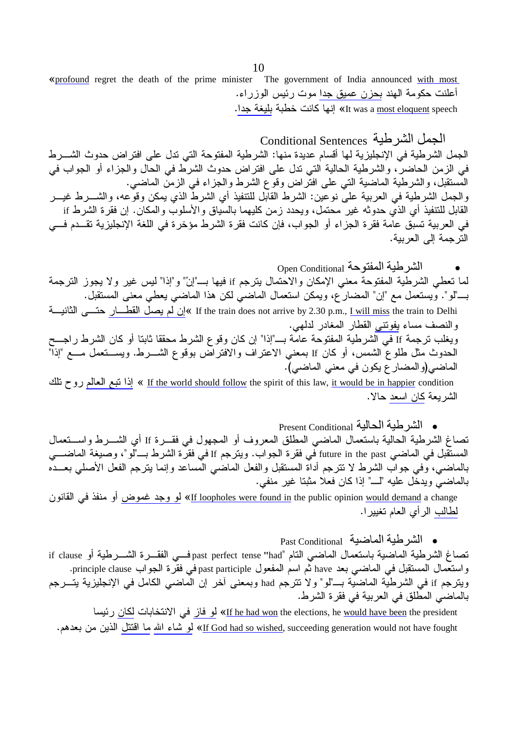«profound regret the death of the prime minister The government of India announced with most أعلنت حكومة الهند بحزن عميق جدا موت رئيس الوزراء. It was a most eloquent speech» إنها كانت خطبة بليغة جدا.

الجمل الشر طية Conditional Sentences الجمل الشرطية في الإنجليزية لها أقسام عديدة منها: الشرطية المفتوحة التي تدل على افتراض حدوث الشــــرط في الزمن الحاضرٌ، والشرطية الحالية التي ندل على افتراض حدوث الشرط في الحال والجزاء أو الجواب في الْمَسْتَقِبْل، والشَّرطية الماضية التي على افْتَراض وقوع الشَّرط والجزاء في الزمن الماضـي. والجمل الشرطية في العربية عليَّ نوعين: الشرط القابَّل للنتفيذ أي الشرطُّ الذي يمكن وقوَّعه، والشــــرط غيــــر القابل للتنفيذ أي الذي حدوثه غير محتمل، ويحدد زمن كليهما بالسياق والأسلوب والمكان. إن فقرة الشرط if في العربية تسبق عامة فقرة الجزاء أو الجواب، فإن كانت فقرة الشرط مؤخرة في اللغة الإنجليزية تقــدم فـــي الله حمة إلى العربية.

Open Conditional ألشرطية المفتوحة لما تعطي الشرطية المفتوحة معنى الإمكان والاحتمال يترجم if فيها بــ"إن" و"إذا" ليس غير ولا يجوز الترجمة بـــــالو". ويستعمل مع "إن" المضـار ع، ويمكن استعمال المـاضـي لكن هذا المـاضـي يعطـي معنـى المستقبل.

If the train does not arrive by 2.30 p.m., <u>I will miss</u> the train to Delhi »إن لم يصل القطــار حتـــى الثانيـــة والنصف مساء يفونني القطار المغادر لدلهي. وِّيغلب نرجمة If في الشرطية المفتوحة عامَّة بـــ"إذا" إن كان وقوع الشرط محققا ثابتا أو كان الشرط راجـــح الحدوث مثل طلوع الشمس، أو كان If بمعنى الاعتراف والافتراض بوقوع الشـــرط. ويســـتعمل مــــع "إذا" الماضي(و المضار ع يكون في معنى الماضي).

لذا نتبع العالم روح نلك « If the world should follow the spirit of this law, <u>it would be in happier</u> condition الشريعة كان اسعد حالا.

• الشرطية الحالية Present Conditional

تصاغ الشرطية الحالية باستعمال الماضبي المطلق المعروف أو المجهول في فقـــرة If أي الشـــرط واســـتعمال المستقبل في الماضي future in the past في فقرة الجواب. ويترجم If في فقرة الشرط بـــ"لو"، وصيغة الماضــــي بالماضيي، وَفي جواب الشرط لا نترجم أداة المستقبل والفعل الماضي المساعد وإنما بترجم الفعل الأصلي بعـــده بالماضبي ويدخل عليه "لـــ" إذا كان فعلا مثبتا غير منفي.

<u>If loopholes were found in</u> the public opinion <u>would demand</u> a change» لمو وجد غموض أو منفذ في القانون لطالب الرأى العام تغييرا.

· الشرطية الماضية Past Conditional تصاغ الشرطية الماضية باستعمال الماضبي التام "past perfect tense "had" فسي الفقسرة الشسرطية أو if clause واستعمال المستقبل في الماضي بعد have ثم اسم المفعول past participle في فقرة الجواب principle clause. ويترجم if في الشرطية الماضية بـــ"لو" ولا نترجم had وبمعنى أخر إن الماضـي الكامل فـي الإنجليزية يتـــرجم بالماضي المطلق في العربية في فقرة الشرط.

<u>t he had won</u> the elections, he <u>would have been</u> the president» لم<u>و فاز</u> في الانتخابات ل<u>كان</u> رئيسا <u>If God had so wished,</u> succeeding generation would not have fought» لمو شاء الله ما اقتتل الذين من بعدهم.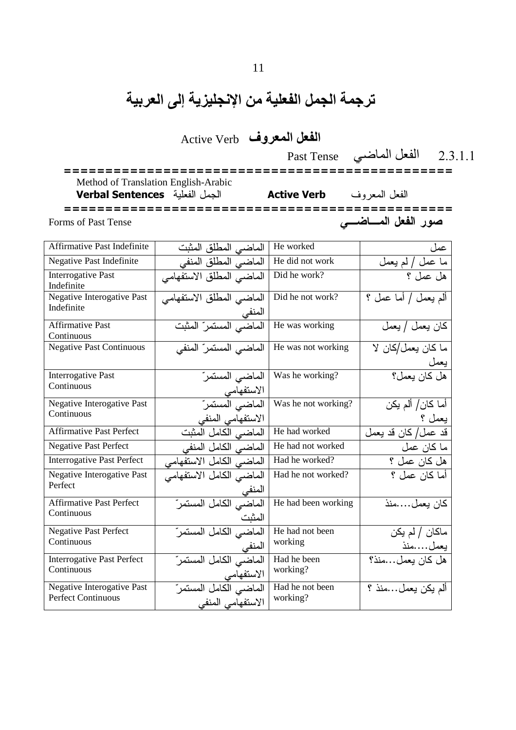# ترجمة الجمل الفعلية من الإنجليزية إلى العربية

الفعل المعروف Active Verb

2.3.1.1 ا0& ا
6. Tense Past

 =============================================== Method of Translation English-Arabic Verbal Sentences -الفعل المعروف Active Verb

=============================================== Forms of Past Tense صور الفعل المساضي

| <b>Affirmative Past Indefinite</b>                      | الماضي المطلق المثبت                         | He worked                   | عمل                        |
|---------------------------------------------------------|----------------------------------------------|-----------------------------|----------------------------|
| Negative Past Indefinite                                | الماضي المطلق المنفي                         | He did not work             | ما عمل / لم يعمل           |
| <b>Interrogative Past</b><br>Indefinite                 | الماضي المطلق الاستفهامي                     | Did he work?                | هل عمل ؟                   |
| <b>Negative Interogative Past</b><br>Indefinite         | الماضي المطلق الاستفهامي<br>المنفي           | Did he not work?            | الم يعمل / أما عمل ؟       |
| <b>Affirmative Past</b><br>Continuous                   | الماضي المستمر المثبت                        | He was working              | كان يعمل / يعمل            |
| <b>Negative Past Continuous</b>                         | الماضي المستمر" المنفي                       | He was not working          | ما كان يعمل/كان لا<br>يعمل |
| <b>Interrogative Past</b><br>Continuous                 | الماضي المستمرّ<br>الاستفهامي                | Was he working?             | هل كان يعمل؟               |
| Negative Interogative Past<br>Continuous                | الماضي المستمر<br>الاستفهامي المنفي          | Was he not working?         | أما كان/ ألم يكن<br>يعمل ؟ |
| <b>Affirmative Past Perfect</b>                         | الماضي الكامل المثبت                         | He had worked               | قد عمل/كان قد يعمل         |
| <b>Negative Past Perfect</b>                            | الماضي الكامل المنفي                         | He had not worked           | ما كان عمل                 |
| <b>Interrogative Past Perfect</b>                       | الماضي الكامل الاستفهامي                     | Had he worked?              | هل كان عمل ؟               |
| Negative Interogative Past<br>Perfect                   | الماضي الكامل الاستفهامي<br>المنفي           | Had he not worked?          | أما كان عمل ؟              |
| <b>Affirmative Past Perfect</b><br>Continuous           | الماضي الكامل المستمرّ<br>المثبت             | He had been working         | كان يعملمنذ                |
| <b>Negative Past Perfect</b><br>Continuous              | الماضي الكامل المستمرّ<br>المنفي             | He had not been<br>working  | ماكان / لم يكن<br>يعملمنذ  |
| <b>Interrogative Past Perfect</b><br>Continuous         | الماضي الكامل المستمرّ<br>الاستفهامي         | Had he been<br>working?     | هل كان يعمل…منذ؟           |
| Negative Interogative Past<br><b>Perfect Continuous</b> | الماضبي الكامل المستمرّ<br>الاستفهامي المنفى | Had he not been<br>working? | ألم يكن يعملمنذ ؟          |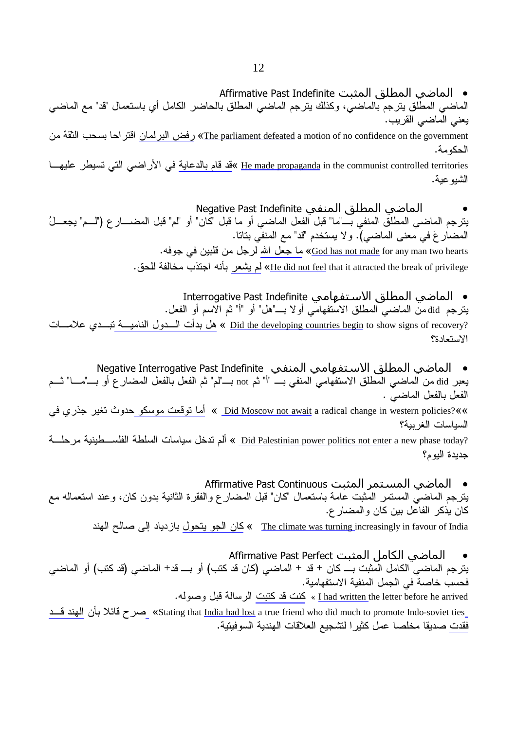• الماضي المطلق المثبت Affirmative Past Indefinite

الماضي المطلق يترجم بالماضي، وكذلك يترجم الماضي المطلق بالحاضر الكامل أي باستعمال "قد" مع الماضي يعني الماضي القريب.

<u>rhe parliament defeated</u> a motion of no confidence on the government)» ر<u>فض البرلمان</u> اقتراحا بسحب الثقة من الحكومة.

<u>Be made propaganda</u> in the communist controlled territories »ق<u>د قام بالدعاية</u> في الأراضـي التي تسيطر عليهـــا الشيو عية.

•الماضي المطلق المنفي Negative Past Indefinite يترجم الماضي المطلق المنفي بـــ"ما" قبل الفعل الماضي أو ما قبل "كان" أو "لم" قبل المضـــــار ع ("لــــم" يجعـــلُ المضىار عَ في معنى الماضي). و لا يستخدم "قد" مع المنفي بتاتا. <u>ما جعل الله</u> لرجل من قلبين في جوفه. «<u>God has not made</u> for any man two hearts <u>He did not feel</u> that it attracted the break of privilege» لم يشعر بأنه اجتذب مخالفة للحق.

• الماضي المطلق الاستفهامي Interrogative Past Indefinite

يترجم did من الماضي المطلق الاستفهامي أو لا بــــ"هل" أو "أ" ثم الاسم أو الفعل. <u>هل بدأت السدول الناميسة تبسدي</u> علامسات (Did the developing countries begin</u> to show signs of recovery ) الاستعادة؟

• الماضي المطلق الاستفهامي المنفي Negative Interrogative Past Indefinite يعبر did من الماضي المطلق الاستفهامي المنفي بـــ "أ" ثم not بـــــ"لم" ثم الفعل بالفعل المضىار ع أو بـــــ"مـــا" ثـــم الفعل بالفعل الماضي .

& Did Moscow not await a radical change in western policies?» أما نوقعت موسكو حدوث نغير جذري في السياسات الغربية؟

Lid Palestinian power politics not enter a new phase today? ألم تدخل سياسات السلطة الفلســـطينية مرحلـــة جديدة اليو م؟

● الماضي المستمر المثبت Affirmative Past Continuous

يترجم الماضـي المستمر المثبت عامـة بـاستعمال "كـان" قبل المضـار ع والفقرة الثانية بدون كـان، وعند استعمالـه مـع كان يذكر الفاعل بين كان والمضار ع.

<u>The climate was turning </u>increasingly in favour of India » <u>كان الجو يتحول</u> بازدياد إلى صالح الهند

● الماضي الكامل المثبت Affirmative Past Perfect يترجم الماضي الكامل المثبت بـــ كان + قد + الماضي (كان قد كتب) أو بـــ قد+ الماضي (قد كتب) أو الماضي فحسب خاصة في الجمل المنفية الاستفهامية. <u>Lhad written the letter before he arrived » كنت قد كتبت</u> الرسالة قبل وصوله.

صرح قائلا بأن المهند قسد «Stating that <u>India had lost</u> a true friend who did much to promote Indo-soviet ties فق<u>دت</u> صديقا مخلصـا عمل كثير ا لتشجيع العلاقات الـهندية السوفيتية.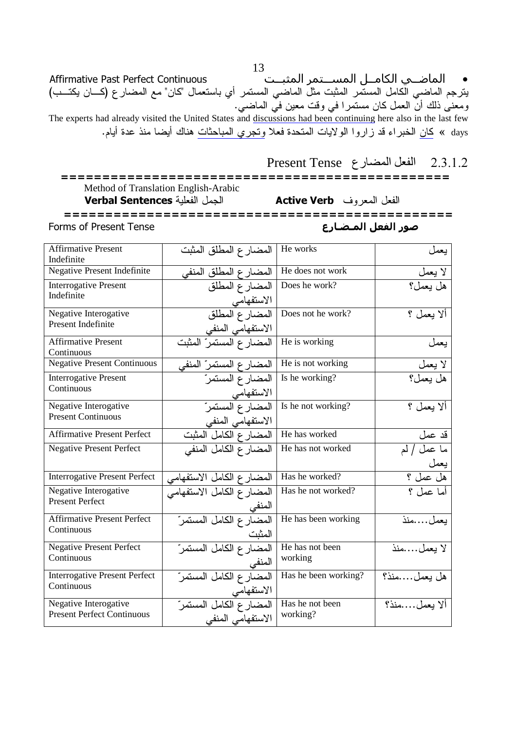ِ<br>الماضــي الكامــل المســـتمر المثبــت<sup>ُ</sup> Affirmative Past Perfect Continuous يترجم الماضي الكامل المستمر المثبت مثل الماضي المستمر أي باستعمال "كان" مع المضارع (كـــان يكتـــب) ومعنى ذلك أنَّ العمل كان مستمرٍا في وقت معين في الماضي. The experts had already visited the United States and discussions had been continuing here also in the last few days » كان الخبراء قد زاروا الولايات المتحدة فعلا وتجري المباحثات هناك أيضا منذ عدة أيام.

### 2.3.1.2 الفعل المضارع Present Tense Method of Translation English-Arabic الجمل الفعلية Verbal Sentences Active Verb الفعل المعروف

**Forms of Present Tense** صور الفعل المـضـارع

| <b>Affirmative Present</b><br>Indefinite                   | المضارع المطلق المثبت                            | He works                    | يعمل                     |
|------------------------------------------------------------|--------------------------------------------------|-----------------------------|--------------------------|
| Negative Present Indefinite                                | المضارع المطلق المنفى                            | He does not work            | لا يعمل                  |
| <b>Interrogative Present</b><br>Indefinite                 | المضارع المطلق<br>الاستفهامي                     | Does he work?               | هل يعمل؟                 |
| Negative Interogative<br>Present Indefinite                | المضارع المطلق<br>الاستفهامي المنفي              | Does not he work?           | ألا بعمل ؟               |
| <b>Affirmative Present</b><br>Continuous                   | المضارع المستمرّ المثِّبت                        | He is working               | يعمل                     |
| <b>Negative Present Continuous</b>                         | المضارع المستمرّ المنفى                          | He is not working           | لا يعمل                  |
| <b>Interrogative Present</b><br>Continuous                 | المضار ع المستمرّ<br>الاستفهامي                  | Is he working?              | هل يعمل؟                 |
| Negative Interogative<br><b>Present Continuous</b>         | المضارع المستمر<br>الاستفهامي المنفي             | Is he not working?          | ألا بيعمل ؟              |
| <b>Affirmative Present Perfect</b>                         | المضارع الكامل المثبت                            | He has worked               | قد عمل                   |
| <b>Negative Present Perfect</b>                            | المضبارع الكامل المنفى                           | He has not worked           | ما عمل / لم              |
| <b>Interrogative Present Perfect</b>                       | المضارع الكامل الاستفهامي                        | Has he worked?              | يعم <u>ل</u><br>هل عمل ؟ |
| Negative Interogative<br><b>Present Perfect</b>            | المضارع الكامل الاستفهامي<br>للمنفي              | Has he not worked?          | أما عمل ؟                |
| <b>Affirmative Present Perfect</b><br>Continuous           | المضبارع الكامل المستمر                          | He has been working         | بعملمنذ                  |
| <b>Negative Present Perfect</b><br>Continuous              | المثبت<br>المضارع الكامل المستمرّ                | He has not been<br>working  | لا يعملمنذ               |
| <b>Interrogative Present Perfect</b><br>Continuous         | المنفي<br>المضار ع الكامل المستمرّ<br>الاستفهامي | Has he been working?        | هل بعملمنذ؟              |
| Negative Interogative<br><b>Present Perfect Continuous</b> | المضارع الكامل المستمر<br>الاستفهامي المنفى      | Has he not been<br>working? | ألا بعملمنذ؟             |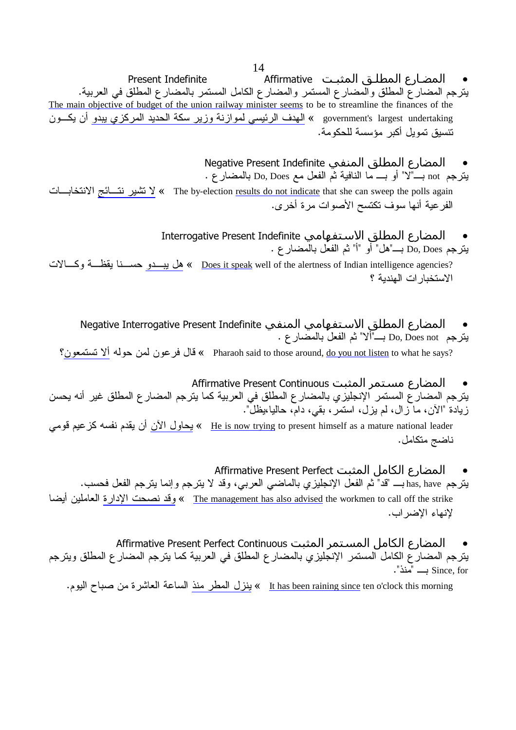- المضارع المطلـق المثبـت Affirmative و Affirmative يترجم المضارع المطلق والمضارع المستمر والمضارع الكامل المستمر بالمضارع المطلق في العربية. The main objective of budget of the union railway minister seems to be to streamline the finances of the government's largest undertaking » <u>الهدف الرئيسي لموازنة وزير سكة الحديد المركزي يبدو</u> أن يكــون تنسيق تمويل أكبر مؤسسة للحكومة.
	- المضارع المطلق المنفي Negative Present Indefinite يترجع not بـــ"لا" أو بــــ ما النافية ثم الفعل مع Do, Does بالمضىار ع .

لانتخابـــات (X) < The by-election <u>results do not indicate</u> that she can sweep the polls again الفرعية أنها سوف نكتسح الأصوات مرة أخرى.

> المضارع المطلق الاستفهامي Interrogative Present Indefinite يترجم Do, Does بــــ"هل" أو "أ" ثم الفعل بالمضـار ع .

<u>هل يبـــدو</u> حســـنا يقظـــة وكــــالات « <u>Does it speak</u> well of the alertness of Indian intelligence agencies? الاستخبار ات الهندية ؟

- المضارع المطلق الاستفهامي المنفي Negative Interrogative Present Indefinite يترجم Do, Does not بــــ"ألا" ثم الفعل بالمضبار ع . ?Pharaoh said to those around, <u>do you not listen</u> to what he says » قال فرعون لمن حوله <u>ألا تستمعون</u>؟
- ا&رع ا
 Continuous Present Affirmative يترجم المضار ع المستمر الإنجليزي بالمضار ع المطلق في العربية كما يترجم المضار ع المطلق غير أنه يحسن زيادة "الأن، ما زال، لم يزل، استمر، بقي، دام، حاليا،يظل".

He is now trying to present himself as a mature national leader » بيحاول الآن أن يقدم نفسه كز عيم قومي ناضج متكامل.

- المضارع الكامل المثبت Affirmative Present Perfect
- يترجم has, have بــــ "قد" ثم الفعل الإنجليزي بالماضيي العربي، وقد لا يترجم وإنما يترجم الفعل فحسب. في الإداريّ العاملين أيضا The management has also advised the workmen to call off the strike لإنهاء الإضراب.
- المضارع الكامل المستمر المثبت Affirmative Present Perfect Continuous يترجم المضارع الكامل المستمر الإنجليزي بالمضارع المطلق في العربية كما يترجم المضارع المطلق ويترجم ." منذ "منذ ".

<u>It has been raining since</u> ten o'clock this morning » بينزل المطر منذ الساعة العاشرة من صباح اليوم.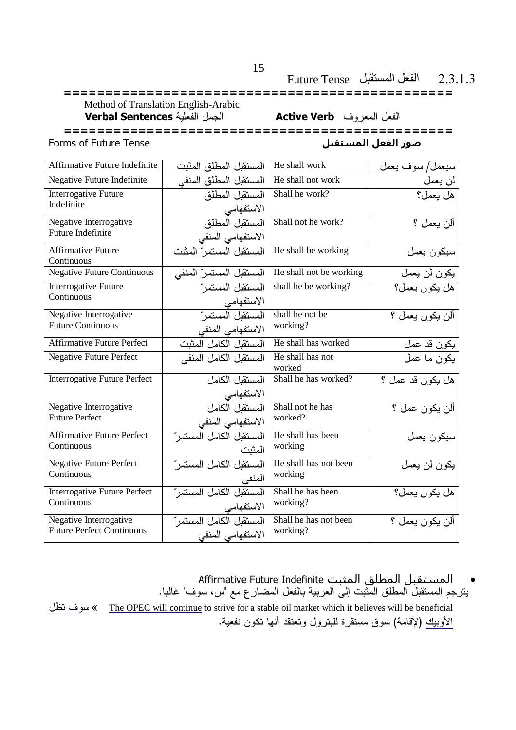#### الفعل المستقبل Future Tense  $2.3.1.3$

Method of Translation English-Arabic الجمل الفعلية Verbal Sentences

الفعل المعروف Active Verb

Forms of Future Tense

صور الفعل المستقبل

| Affirmative Future Indefinite       | المستقبل المطلق المثبت  | He shall work           | سيعمل/سوف يعمل   |
|-------------------------------------|-------------------------|-------------------------|------------------|
| Negative Future Indefinite          | المستقبل المطلق المنفى  | He shall not work       | لن يعمل          |
| <b>Interrogative Future</b>         | المستقبل المطلق         | Shall he work?          | هل يعمل؟         |
| Indefinite                          | الاستفهامي              |                         |                  |
| Negative Interrogative              | المستقبل المطلق         | Shall not he work?      | ألن يعمل ؟       |
| Future Indefinite                   | الاستفهامي المنفى       |                         |                  |
| <b>Affirmative Future</b>           | المستقبل المستمر المثبت | He shall be working     | سيكون يعمل       |
| Continuous                          |                         |                         |                  |
| <b>Negative Future Continuous</b>   | المستقبل المستمر المنفى | He shall not be working | يكون لن يعمل     |
| Interrogative Future                | المستقبل المستمر        | shall he be working?    | هل يكون يعمل؟    |
| Continuous                          | الاستفهامي              |                         |                  |
| Negative Interrogative              | المستقبل المستمر        | shall he not be         | ألن يكون يعمل ؟  |
| <b>Future Continuous</b>            | الاستفهامي المنفى       | working?                |                  |
| <b>Affirmative Future Perfect</b>   | المستقبل الكامل المثبت  | He shall has worked     | يكون قد عمل      |
| <b>Negative Future Perfect</b>      | المستقبل الكامل المنفى  | He shall has not        | يكون ما عمل      |
|                                     |                         | worked                  |                  |
| <b>Interrogative Future Perfect</b> | المستقبل الكامل         | Shall he has worked?    | هل يكون قد عمل ؟ |
|                                     | الاستفهامي              |                         |                  |
| Negative Interrogative              | المستقبل الكامل         | Shall not he has        | ألن يكون عمل ؟   |
| <b>Future Perfect</b>               | الاستفهامي المنفى       | worked?                 |                  |
| <b>Affirmative Future Perfect</b>   | المستقبل الكامل المستمر | He shall has been       | سيكون يعمل       |
| Continuous                          | المثبت                  | working                 |                  |
| <b>Negative Future Perfect</b>      | المستقبل الكامل المستمر | He shall has not been   | يكون لن يعمل     |
| Continuous                          | المنفى                  | working                 |                  |
| <b>Interrogative Future Perfect</b> | المستقبل الكامل المستمر | Shall he has been       | هل يكون يعمل؟    |
| Continuous                          | الاستفهامي              | working?                |                  |
| Negative Interrogative              | المستقبل الكامل المستمر | Shall he has not been   | ألن يكون يعمل ؟  |
| <b>Future Perfect Continuous</b>    | الاستفهامي المنفى       | working?                |                  |

Affirmative Future Indefinite المستقبل المطلق المثبت  $\bullet$ يترجم المستقبل المطلق المثبت إلى العربية بالفعل المضارع مع "س، سوف" غالبا. » سوف تظل The OPEC will continue to strive for a stable oil market which it believes will be beneficial الأوبيك (لإقامة) سوق مستقرة للبترول وتعتقد أنها تكون نفعية.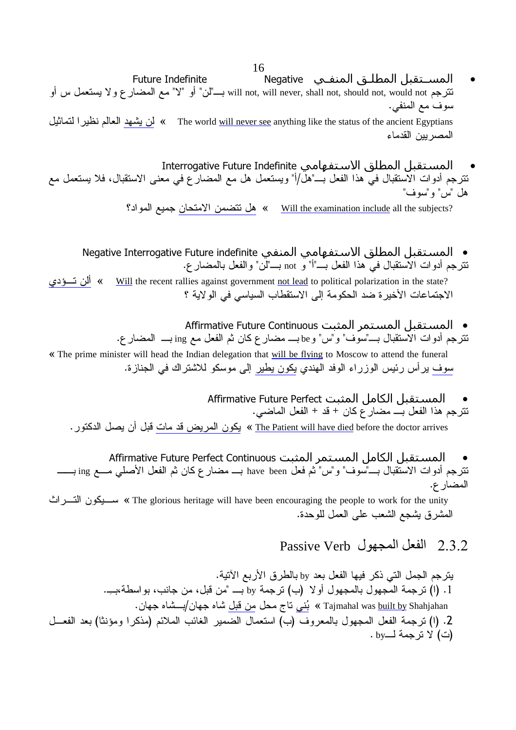- المسـتقبل المطلـق المنفـي Negative **Future Indefinite** نترجم will not, will never, shall not, should not, would not بــــ"لن" أو "لا" مع المضارع و لا يستعمل س أو سوف مع المنفي. The world <u>will never see</u> anything like the status of the ancient Egyptians » لمن يشهد العالم نظيرا لتماثيل المصر يين القدماء
- المستقبل المطلق الاستفهامي Interrogative Future Indefinite تترجم أدوات الاستقبال في هذا الفعل بـــ"هل/أ" ويستعمل هل مع المضارع في معنى الاستقبال، فلا يستعمل مع هل "س" و "سو ف"

<u>Mill the examination include</u> all the subjects? هل تتضمن الامتحان جميع المواد؟

● المستقبل المطلق الاستفهامي المنفي Negative Interrogative Future indefinite تترجم أدوات الاستقبال في هذا الفعل بـــ"أ" و not بــــ"لن" والفعل بالمضار ع.

» ألن تسؤد<u>ي</u> Will the recent rallies against government not lead to political polarization in the state? الاجتماعات الأخير ة ضد الحكومة إلى الاستقطاب السياسي في الولاية ؟

- المستقبل المستمر المثبت Affirmative Future Continuous تترجم أدوات الأستقبال بــــ"سوّف" و"س" و be بــــ مضـار ع كان ثم الفعل مـع ing بــــ المضـار ع. « The prime minister will head the Indian delegation that will be flying to Moscow to attend the funeral سوف يرأس رئيس الوزراء الوفد الهندي يكون يطير إلى موسكو للاشتراك في الجنازة.
	- Affirmative Future Perfect المستقبل الكامل المثبت نترجم هذا الفعل بـــ مضار ع كان + قد + الفعل الماضي. <u>The Patient will have died</u> before the doctor arrives » يكون المريض قد مات قبل أن يصل الدكتور .

Affirmative Future Perfect Continuous المستمر المثبت نترجم أدوات الاستّقبال بــــ"سوف" و"س" ثم فعل have been بــــ مضارع كان ثم الفعل الأصلي مــــع ing بــــــــــ المضار ع.

The glorious heritage will have been encouraging the people to work for the unity » سـبكون التسرات المشرق يشجع الشعب على العمل للوحدة.

2.3.2 الفعل المحمول Passive Verb

يترجم الجمل التي ذكر فيها الفعل بعد by بالطرق الأربع الآتية. .<br>1. (ا) نرجمة المجهول بالمجهول أولا (ب) نرجمة by بـــ "من قبل، من جانب، بواسطة،بــِـ. Tajmahal was built by Shahjahan » بُنى تاج محل من قبل شاه جهان/بسشاه جهان. 2. (ا) نرجمة الفعل المجهول بالمعروف (ب) استعمال الضمير الغائب الملائم (مذكرا ومؤنثا) بعد الفعــل  $\cdot$  by لا ترجمة لـــvd  $\mathcal{Y}$  .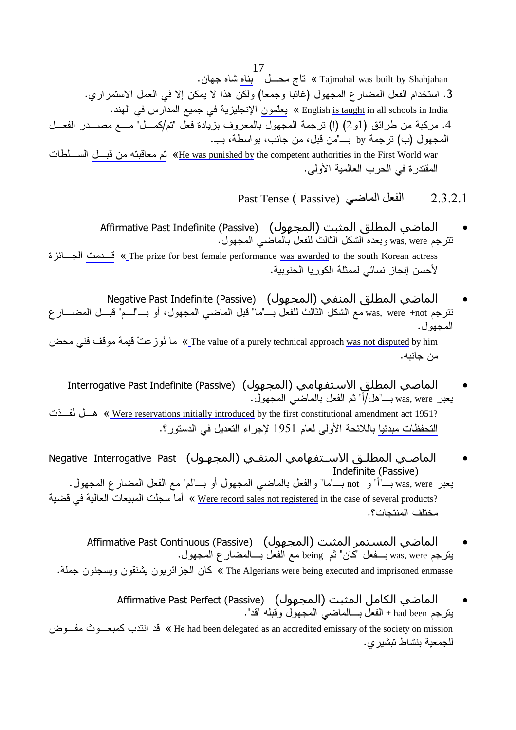17 تاج محـــل ُ بِناهِ شاه جهان. Tajmahal was <u>built by</u> Shahjahan 3. استخدام الفعل المضار ع المجهول (غائبا وجمعا) ولكن هذا لا يمكن إلا في العمل الاستمر اري. English <u>is taught</u> in all schools in India » يعلّمون الإنجليزية في جميع المدارس في الـهند. 4. مركبة من طرائق (1و2) (ا) نرجمة المجهول بالمعروف بزيادة فعل "تم/كمـــل" مـــع مصــــدر الفعـــل المجهول (ب) ترجمة by بـــــ"من قبل، من جانب، بواسطة، بـــِ. <u>He was punished by</u> the competent authorities in the First World war تع معاقبته من قبسل السسلطات المقتدر ة في الحرب العالمية الأولى.

- Past Tense ( Passive) الفعل الماضي  $2.3.2.1$
- الماضي المطلق المثبت (المجهول) (Affirmative Past Indefinite (Passive نترجم was, were وبعده الشكل الثالث للفعل بالماضـي المجهول.

 1 B B3 « The prize for best female performance was awarded to the south Korean actress لأحسن إنجاز نسائي لممثلة الكوريا الجنوبية.

الماضي المطلق المنفي (المجهول) (Negative Past Indefinite (Passive) نترجم was, were +not مع الشكل الثالث للفعل بــــ"ما" قبل الماضـي المجهول، أو بـــــ"لـــم" قبـــل المضـــــار ع المجهو ل .

The value of a purely technical approach <u>was not disputed</u> by him ﴾ ما <u>نُوز عتْ </u>قيمة موقف فنبي محض من جانبه.

الماضي المطلق الاستفهامي (المحهول) (Interrogative Past Indefinite (Passive . ,
 '> ,- 9 ,;/ " B" was, were

 :B-\_ ,B; « Were reservations initially introduced by the first constitutional amendment act 1951? <u>التحفظات مبدئيا</u> باللائحة الأولى لعام 1951 لإجراء التعديل في الدستور ؟.

- الماضـي المطلـق الاسـتفهامي المنفـي (المجهـول) Negative Interrogative Past Indefinite (Passive)
- . ,
 > ,- 7 "9 " B 
 ,
 '> ,- B" " not B" " was, were ك المبيعات العالية في قضية (Were record sales not registered in the case of several products) . هم اسجلت المبيعات العالية مختلف المنتجات؟.
	- الماضي المستمر المثبت (المجهول) Affirmative Past Continuous (Passive) يترجم was, were بـــفعل "كان" ثم \_being مع الفعل بـــالمضار ع المجهول. The Algerians <u>were being executed and imprisoned</u> enmasse » كان الجزائريون يشنقون ويسجنون جملة.
- ا ا"! ا
 (ا+\*ل) (Passive (Perfect Past Affirmative يترجم had been + الفعل بــــالماضـي المجهول وقبله "قد". He <u>had been delegated</u> as an accredited emissary of the society on mission » قد انتدب كمبعـــوث مفـــوض للجمعية بنشاط تبشيري.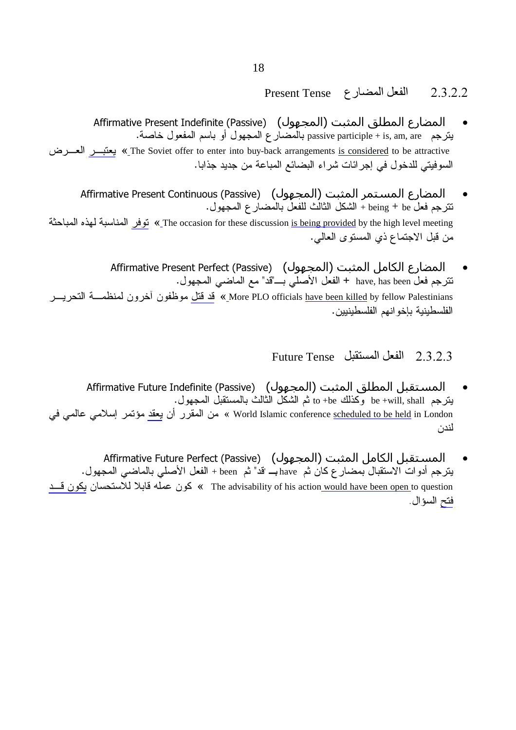### $P$ Present Tense الفعل المضارع Present Tense

- المضارع المطلق المثبت (المجهول) (Affirmative Present Indefinite (Passive يتزجم passive participle + is, am, are بالمضارع المجهول أو باسم المفعول خاصة. IB B « The Soviet offer to enter into buy-back arrangements is considered to be attractive السوفيتي للدخول في إجر ائات شر اء البضائع المباعة من جديد جذابا.
- المضارع المستمر المثبت (المجهول) (Affirmative Present Continuous (Passive نترجم فعل being + be + الشكل الثالث للفعل بالمضارع المجهول. The occasion for these discussion <u>is being provided</u> by the high level meeting.» توفر المناسبة لهذه المباحثة من قبل الاجتماع ذي المستوى العالمي.
- المضارع الكامل المثبت (المجهول) Affirmative Present Perfect (Passive) . ,
 '> 7 "3 " B '! ,- **+** have, has been , 9 More PLO officials <u>have been killed</u> by fellow Palestinians<sub>.</sub>» <u>قد قتل</u> موظفون أخرون لمنظمـــة التحريــــر الفلسطينية بإخو انهم الفلسطينيين.

### $F$  الفعل المستقبل Future Tense

- المستقبل المطلق المثبت (المجهول) (Affirmative Future Indefinite (Passive يترجم be +will, shall وكذلك to +be ثم الشكل الثالث بالمستقبل المجهول. world Islamic conference <u>scheduled to be held</u> in London » من المقرر أن يعقد مؤتمر إسلامي عالمي في لندن
- المستقبل الكامل المثبت (المجهول) Affirmative Future Perfect (Passive) يترجم أدوات الاستقبال بمضبار ع كان ثم have بــ "قد" ثم been + الفعل الأصلي بالماضي المجهول. ه كون عمله قابلا للاستحسان يكو<u>ن قــد «</u> The advisability of his action <u>would have been open</u> to question فتح السؤال.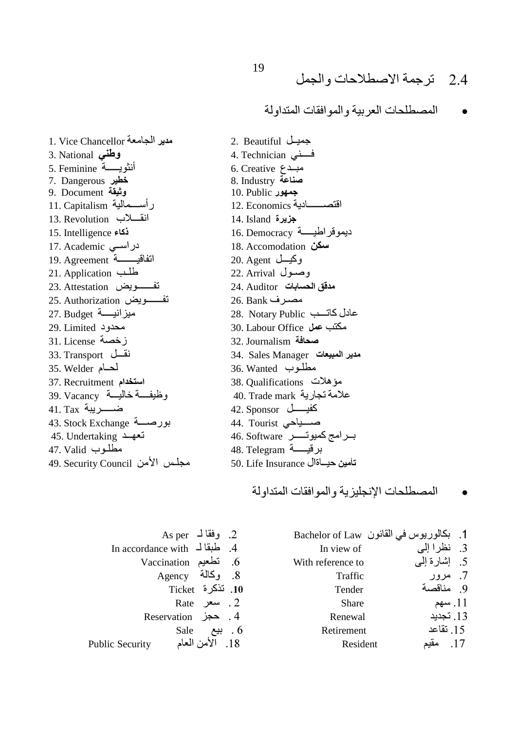المصطلحات العر بية و المو افقات المتداولة

1. Vice Chancellor مدير الجامعة وطنسى 3. National أنثويــــــة 5. Feminine 7. Dangerous خطير 9. Document وَثَيْقَة رأســمالية 11. Capitalism انقسلاب Revolution 15. Intelligence ذكاء دراسي 17. Academic اتفاقيـــــــة 19. Agreement 21. Application طلب 23. Attestation تفسسويض 25. Authorization تفــــويض 27. Budget ميزانيسة 29. Limited محدود زخصة 31. License نقسل 33. Transport 35. Welder أحسام 37. Recruitment استخدام وظيفسة خاليسة 39. Vacancy ضــــــــريبة 41. Tax بورصــــة 43. Stock Exchange تعهد 45. Undertaking مطلــوب 47. Valid 49. Security Council مجلس الأمن 2. Beautiful جميـل فسني 4. Technician 6. Creative مبدع 8. Industry عناعة 10. Public جمهور 12. Economics ـــــادية اقتصد بزيرة 14. Island 16. Democracy ديمو قراطيسة 18. Accomodation سكن وكيسل 20. Agent 22. Arrival وصلول 24. Auditor مدقق الحسابات مصرف 26. Bank 28. Notary Public عادل كاتسب 30. Labour Office مكتب عمل 32. Journalism صحافة 34. Sales Manager مدير المبيعات 36. Wanted مطلوب مؤهلات 38. Qualifications علامة تجارية 40. Trade mark 42. Sponsor كفيســـــل 44. Tourist صسياحي برامج كميوتــــر 46. Software برقيسة 48. Telegram تأمين حيساةال 50. Life Insurance

المصطلحات الانجلبز بة والموافقات المتداولة

|                               | 2. وفقالـ As per |     |
|-------------------------------|------------------|-----|
| 4. طبقا لـ In accordance with |                  |     |
| Vaccination تطعيم Vaccination |                  |     |
|                               | 8. وكالة Agency  |     |
|                               | 10. تذكرة Ticket |     |
|                               | 2. سعر Rate      |     |
| 4. حجز Reservation            |                  |     |
|                               | Sale بیع         | . 6 |
| <b>Public Security</b>        | 18. الأمن العام  |     |

|                   | 1. بكالوريوس في القانون Bachelor of Law |  |
|-------------------|-----------------------------------------|--|
| In view of        | 3. نظرا إلى                             |  |
| With reference to | 5. إشارة إلىي                           |  |
| Traffic           | 7. مرور                                 |  |
| Tender            | 9 مناقصة                                |  |
| <b>Share</b>      | 11. سهم                                 |  |
| Renewal           | 13. تجديد                               |  |
| Retirement        | 15. تقاعد                               |  |
| Resident          | .17                                     |  |
|                   |                                         |  |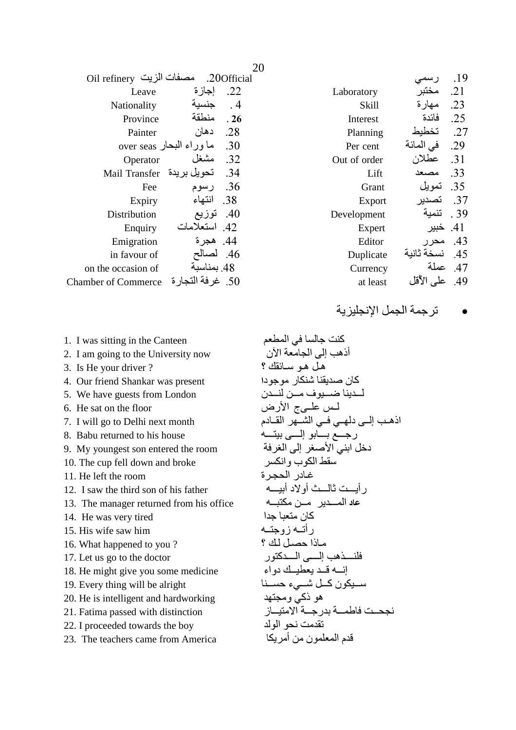| مصفات الزيت Oil refinery   | .200fficial                     |
|----------------------------|---------------------------------|
| Leave                      | إجاز ة<br>.22                   |
| Nationality                | $\cdot$ 4<br>حنسد               |
| Province                   | منطقة<br>.26                    |
| Painter                    | دهان<br>.28                     |
|                            | ما وراء البحار over seas<br>.30 |
| Operator                   | مشغل<br>.32                     |
| Mail Transfer              | .34<br>تحويل بر يدة             |
| Fee                        | .36<br>رسوم                     |
| Expiry                     | انتهاء<br>.38                   |
| Distribution               | .40<br>توزيع                    |
| Enquiry                    | استعلامات<br>.42                |
| Emigration                 | 44. هجر ة                       |
| in favour of               | .46                             |
| on the occasion of         | 48. بمناسبة                     |
| <b>Chamber of Commerce</b> | غر فة الت<br>سار ة<br>.50       |

|              | ر سد       | .19  |
|--------------|------------|------|
| Laboratory   | مختىر      | .21  |
| Skill        | مـهـار ة   | .23  |
| Interest     | فائدة      | .25  |
| Planning     | تخطبط      | .27  |
| Per cent     | في المائة  | .29  |
| Out of order | عطلان      | .31  |
| Lift         |            | .33  |
| Grant        | -تمو بل    | .35  |
| Export       | تصدير      | .37  |
| Development  | تنمبة      | . 39 |
| Expert       | خببر       | .41  |
| Editor       | محد        | .43  |
| Duplicate    | نسخة ثانبة | .45  |
| Currency     | عملة       | .47  |
| at least     | علے الأقل  | .49  |
|              |            |      |

ترجمة الجمل الإنجليزية  $\bullet$ 

- 1. I was sitting in the Canteen
- 2. I am going to the University now
- 3. Is He your driver?
- 4. Our friend Shankar was present
- 5. We have guests from London
- 6. He sat on the floor
- 7. I will go to Delhi next month
- 8. Babu returned to his house
- 9. My youngest son entered the room
- 10. The cup fell down and broke
- 11. He left the room
- 12. I saw the third son of his father
- 13. The manager returned from his office
- 14. He was very tired
- 15. His wife saw him
- 16. What happened to you?
- 17. Let us go to the doctor
- 18. He might give you some medicine
- 19. Every thing will be alright
- 20. He is intelligent and hardworking
- 21. Fatima passed with distinction
- 22. I proceeded towards the boy
- 23. The teachers came from America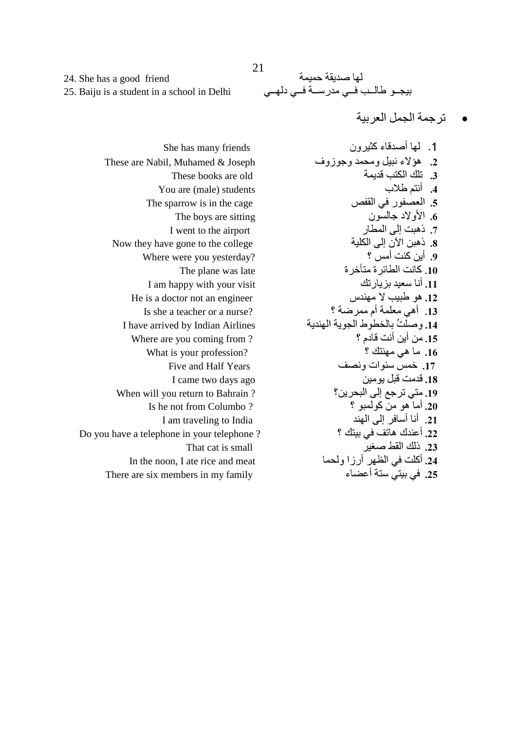لها صديقة حميمة بيجـو طالـب فـي مدرسـة فـي دلهـي

تر جمة الجمل العر بية

1. لمها أصدقاء كثير ون 2. هؤلاء نبيل ومحمد وجوزوف 3. تلك الكتب قديمة 4. أنتم طلاب 5. العصفور في القفص 6. الأولاد جالسون 7. ذهبت إلى المطار 8. ذهنن الآن الى الكلبة 9. أين كنت أمس ؟ 10. كانت الطائر ة متأخر ة 11. أنا سعيد بز يار تك 12. هو طبيب لا مهندس 13. أهي معلمة أم ممرضة ؟ 14. وصلَّتُ بالخطوط الجوية الهندية 15. من أين أنت قادم ؟ 16. ما هي مهنتك ؟ 17. خمس سنوات ونصف 18. قدمت قبل يو مين 19. متى ترجع إلى البحرين؟ 20. أما هو من كولمبو ؟ 21. أنا أسافر إلى المهند 22. أعندك هاتف في بيتك ؟ 23. ذلك القط صغير 24. أكلت في الظهر أرزا ولحما 25. في بيتي ستة أعضاء

24. She has a good friend 25. Baiju is a student in a school in Delhi

She has many friends These are Nabil, Muhamed & Joseph These books are old You are (male) students The sparrow is in the cage The boys are sitting I went to the airport Now they have gone to the college Where were you yesterday? The plane was late I am happy with your visit He is a doctor not an engineer Is she a teacher or a nurse? I have arrived by Indian Airlines Where are you coming from? What is your profession? Five and Half Years I came two days ago When will you return to Bahrain? Is he not from Columbo? I am traveling to India Do you have a telephone in your telephone? That cat is small In the noon, I ate rice and meat There are six members in my family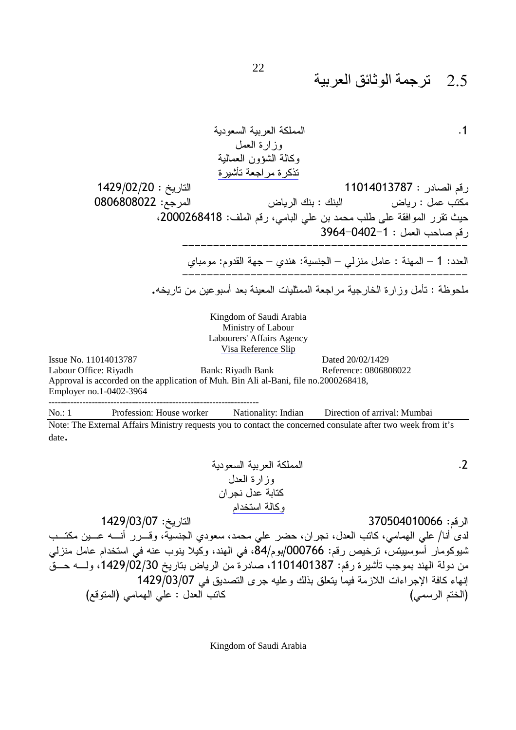1.1  
\n1.11. 
$$
\frac{1}{2}
$$
 J.  $\frac{1}{2}$  J.  $\frac{1}{2}$  J.  $\frac{1}{2}$  J.  $\frac{1}{2}$  J.  $\frac{1}{2}$  J.  $\frac{1}{2}$  J.  $\frac{1}{2}$  J.  $\frac{1}{2}$  J.  $\frac{1}{2}$  J.  $\frac{1}{2}$  J.  $\frac{1}{2}$  J.  $\frac{1}{2}$  J.  $\frac{1}{2}$  J.  $\frac{1}{2}$  J.  $\frac{1}{2}$  J.  $\frac{1}{2}$  J.  $\frac{1}{2}$  J.  $\frac{1}{2}$  J.  $\frac{1}{2}$  J.  $\frac{1}{2}$  J.  $\frac{1}{2}$  J.  $\frac{1}{2}$  J.  $\frac{1}{2}$  J.  $\frac{1}{2}$  J.  $\frac{1}{2}$  J.  $\frac{1}{2}$  J.  $\frac{1}{2}$  J.  $\frac{1}{2}$  J.  $\frac{1}{2}$  J.  $\frac{1}{2}$  J.  $\frac{1}{2}$  J.  $\frac{1}{2}$  J.  $\frac{1}{2}$  J.  $\frac{1}{2}$  J.  $\frac{1}{2}$  J.  $\frac{1}{2}$  J.  $\frac{1}{2}$  J.  $\frac{1}{2}$  J.  $\frac{1}{2}$  J.  $\frac{1}{2}$  J.  $\frac{1}{2}$  J.  $\frac{1}{2}$  J.  $\frac{1}{2}$  J.  $\frac{1}{2}$  J.  $\frac{1}{2}$  J.  $\frac{1}{2}$  J.  $\frac{1}{2}$  J.  $\frac{1}{2}$  J.  $\frac{1}{2}$  J.  $\frac{1}{2}$  J.  $\frac{1}{2}$  J.  $\frac{1}{2}$  J.  $\frac{1}{2}$  J.  $\frac{1}{2}$  J.  $\frac{1}{2}$  J.  $\frac{1}{2}$  J.  $\frac{1}{2}$  J

 $No.$ :

الرقم: 370504010066 التاريخ: /1429/03/07 لدِّي أنا/ علي الهمامي، كاتب العدل، نجران، حضر علي محمد، سعودي الجنسية، وقـــُرر أنــــه عـــين مكتـــب شيوكومار أسوسييتس، ترخيص رقم: 000766/بوم/84، في الـهند، وكُيلا ينوب عنه في استخدام عامل منزلي من دولة الهند بموجب تأشيرة رقم: 1101401387، صادرة من الرياض بتاريخ 1429/02/30، ولــــه حـــقّ إنهاء كافة الإجراءات اللازمة فيما يتعلق بذلك وعليه جرى التصديق في 1429/03/07 كاتب العدل : على الهمامي (المتوقع) (الختم الرسمي)

Kingdom of Saudi Arabia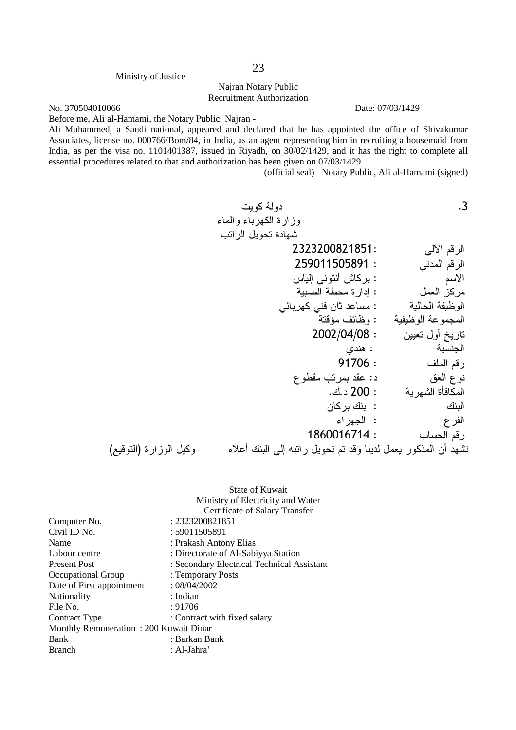#### Ministry of Justice

### Najran Notary Public Recruitment Authorization

No. 370504010066 Date: 07/03/1429

Before me, Ali al-Hamami, the Notary Public, Najran -

Ali Muhammed, a Saudi national, appeared and declared that he has appointed the office of Shivakumar Associates, license no. 000766/Bom/84, in India, as an agent representing him in recruiting a housemaid from India, as per the visa no. 1101401387, issued in Riyadh, on 30/02/1429, and it has the right to complete all essential procedures related to that and authorization has been given on 07/03/1429

(official seal) Notary Public, Ali al-Hamami (signed)

دولة كوبت .3 وزارة الكهرباء والماء شهادة تحويل الراتب 2323200821851: 'f 93 259011505891 : ' 93 اس المستخدم المستخدم المستخدم المستخدم المستخدم المستخدم المستخدم المستخدم المستخدم المستخدم المستخدم المستخدم '
 b & : 9+ مركز العمل : إدارة محطة الصبية

|                        | : مساعد ثان فني كهربائي                                       | الوظيفة الحالية    |
|------------------------|---------------------------------------------------------------|--------------------|
|                        | : وظائف مؤقتة                                                 | المجموعة الوظيفية  |
|                        | 2002/04/08:                                                   | ناريخ أول تعيين    |
|                        | : هندی                                                        | الجنسية            |
|                        | 91706:                                                        | رقم الملف          |
|                        | د: عقد بمرتب مقطوع                                            | نو ع ال <b>ع</b> ق |
|                        | : 200 د.ك.                                                    | المكافأة الشهرية   |
|                        | :  بنك بر كان                                                 | البنك              |
|                        | : الجهراء                                                     | الفر ع             |
|                        | 1860016714:                                                   | رقم الحساب         |
| وكيل الوزارة (النوقيع) | نشهد أن المذكور يعمل لدينا وقد تم تحويل راتبه إلى البنك أعلاه |                    |

|                                        | State of Kuwait                            |
|----------------------------------------|--------------------------------------------|
|                                        | Ministry of Electricity and Water          |
|                                        | Certificate of Salary Transfer             |
| Computer No.                           | : 2323200821851                            |
| Civil ID No.                           | : 59011505891                              |
| Name                                   | : Prakash Antony Elias                     |
| Labour centre                          | : Directorate of Al-Sabiyya Station        |
| <b>Present Post</b>                    | : Secondary Electrical Technical Assistant |
| Occupational Group                     | : Temporary Posts                          |
| Date of First appointment              | : 08/04/2002                               |
| <b>Nationality</b>                     | : Indian                                   |
| File No.                               | : 91706                                    |
| Contract Type                          | : Contract with fixed salary               |
| Monthly Remuneration: 200 Kuwait Dinar |                                            |
| Bank                                   | : Barkan Bank                              |
| <b>Branch</b>                          | : Al-Jahra'                                |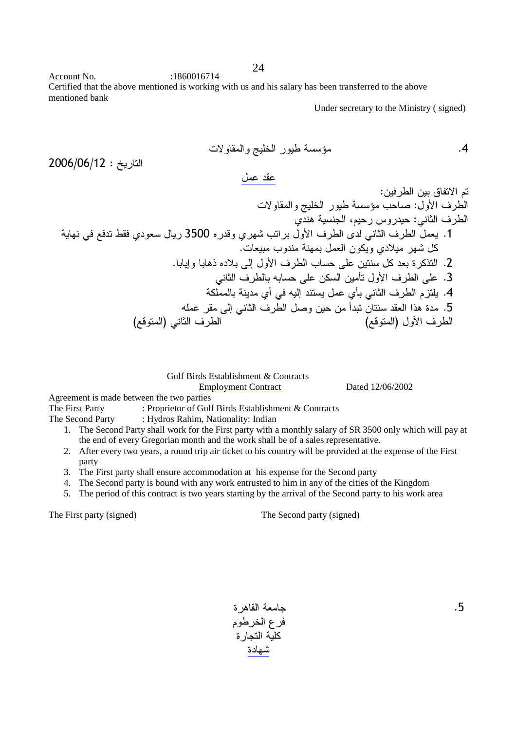Account No.  $:1860016714$ Certified that the above mentioned is working with us and his salary has been transferred to the above mentioned bank

24

Under secretary to the Ministry ( signed)

 + 2
 #!\* 
/ a .4 2006/06/12 : ,8 28 : / 0 -+ 9

 + 2
 #!\* 
/ a % :,
 (/ C; - 69 4
 :' (/ - ' 7 /2 C
 , 3500 Q3
 C< % ,
 (/ A ' (/ , .1 .  %
 - , 
&
 C) < ,& . ;: Q) ,
 (/ % !8 ,& &: .2 ' (/ @ !8 & L ,
 (/ !8 .3 -&! - C ' @ ,8 CL ' (/ 9 ! .4 @!8 2 ' (/ ,
 2 :; .5 (73
) ' (/ (73
) ,
 (/

 Gulf Birds Establishment & Contracts Employment Contract Dated 12/06/2002

Agreement is made between the two parties

The First Party : Proprietor of Gulf Birds Establishment & Contracts

The Second Party : Hydros Rahim, Nationality: Indian

- 1. The Second Party shall work for the First party with a monthly salary of SR 3500 only which will pay at the end of every Gregorian month and the work shall be of a sales representative.
- 2. After every two years, a round trip air ticket to his country will be provided at the expense of the First party
- 3. The First party shall ensure accommodation at his expense for the Second party
- 4. The Second party is bound with any work entrusted to him in any of the cities of the Kingdom
- 5. The period of this contract is two years starting by the arrival of the Second party to his work area

The First party (signed) The Second party (signed)

امعة القاهرة فرع الخرطوم كلية التجار ة شهادة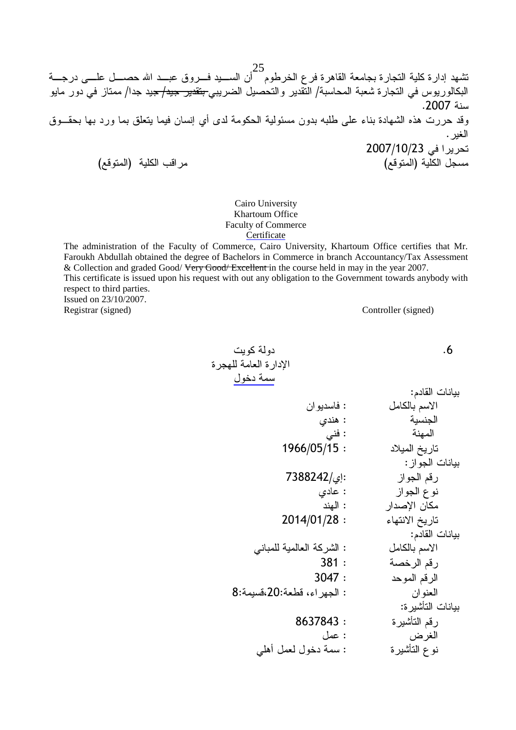25<br>تشهد إدارة كلية النجارة بجامعة القاهرة فرع الخرطوم <sup>1</sup>أن الســـيد فـــروق عبـــد الله حصــــل علــــ<sub>ى</sub> درجــــة<br>البكالوريوس في النجارة شعبة المحاسبة/ النقدير والنحصيل الضريبي<del> بتقدير جيد/ ج</del>يد جدا/ ممتاز في دور مايو سنة 2007. .<br>وقد حررت هذه الشهادة بناء على طلبه بدون مسئولية الحكومة لدى أي إنسان فيما يتعلق بما ورد بها بحقــوق الغبر . نحريرا في 2007/10/23 رين<br>مسجل الكلية (المتوقع) مراقب الكلية (المتوقع)

> Cairo University Khartoum Office **Faculty of Commerce** Certificate

The administration of the Faculty of Commerce, Cairo University, Khartoum Office certifies that Mr. Faroukh Abdullah obtained the degree of Bachelors in Commerce in branch Accountancy/Tax Assessment & Collection and graded Good/Very Good/Excellent in the course held in may in the year 2007. This certificate is issued upon his request with out any obligation to the Government towards anybody with respect to third parties. Issued on 23/10/2007.

Registrar (signed)

Controller (signed)

 $.6$ 

دو لة كوبت الإدارة العامة للهجرة سمة دخول

|                            | بيانات القادم:    |
|----------------------------|-------------------|
| : فاسديوان                 | الاسم بالكامل     |
| : هندي                     | الجنسية           |
| : فنی                      | المهنة            |
| 1966/05/15:                | تاريخ الميلاد     |
|                            | بيانات الجواز:    |
| :إِي/7388242               | رقم الجواز        |
| : عادی                     | نو ع الجو از      |
| : الهند                    | مكان الإصدار      |
| 2014/01/28:                | تاريخ الانتهاء    |
|                            | بيانات القادم:    |
| : الشركة العالمية للمباني  | الاسم بالكامل     |
| 381:                       | رقم الرخصة        |
| 3047:                      | الرقم الموحد      |
| : الجهراء، قطعة:20،قسيمة:8 | العنوان           |
|                            | بيانات التأشير ة: |
| 8637843:                   | رقم التأشيرة      |
| : عمل                      | الغرض             |
| : سمة دخول لعمل أهلي       | نو ع التأشيرة     |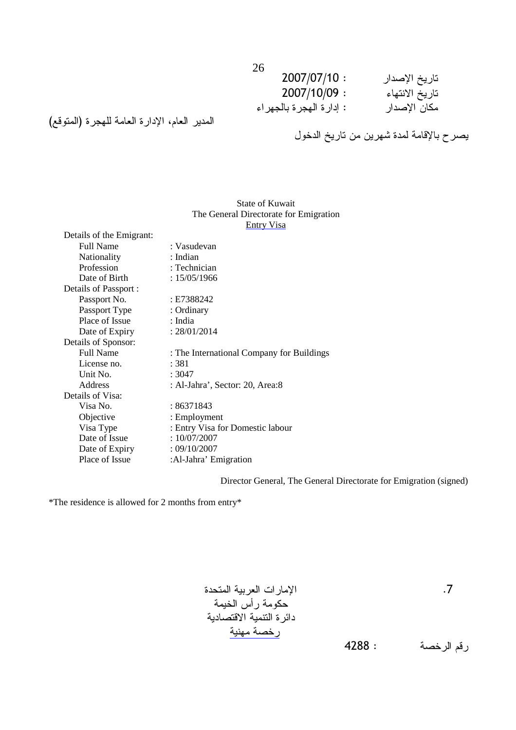| ້<br>2007/07/10:           | تاريخ الإصدار  |
|----------------------------|----------------|
| 2007/10/09:                | تاريخ الانتهاء |
| : إدار ة الهجر ة بالجهر اء | مكان الإصدار   |

### المدير العام، الإدارة العامة للهجرة (المتوقع)

يصر ح بالإقامة لمدة شهرين من تاريخ الدخول

|                          | I ne General Directorate for Emigration   |
|--------------------------|-------------------------------------------|
|                          | Entry Visa                                |
| Details of the Emigrant: |                                           |
| <b>Full Name</b>         | : Vasudevan                               |
| Nationality              | : Indian                                  |
| Profession               | $:$ Technician                            |
| Date of Birth            | : 15/05/1966                              |
| Details of Passport :    |                                           |
| Passport No.             | : E7388242                                |
| Passport Type            | : Ordinary                                |
| Place of Issue           | : India                                   |
| Date of Expiry           | : 28/01/2014                              |
| Details of Sponsor:      |                                           |
| <b>Full Name</b>         | : The International Company for Buildings |
| License no.              | : 381                                     |
| Unit No.                 | :3047                                     |
| <b>Address</b>           | : Al-Jahra', Sector: 20, Area:8           |
| Details of Visa:         |                                           |
| Visa No.                 | :86371843                                 |
| Objective                | : Employment                              |
| Visa Type                | : Entry Visa for Domestic labour          |
| Date of Issue            | :10/07/2007                               |
| Date of Expiry           | : 09/10/2007                              |
| Place of Issue           | :Al-Jahra' Emigration                     |

### State of Kuwait The General Directorate for Emigration

Director General, The General Directorate for Emigration (signed)

\*The residence is allowed for 2 months from entry\*

 - " .7 -\* 4 -& - 3+ - 1 - -\* 4288 : -

\* 93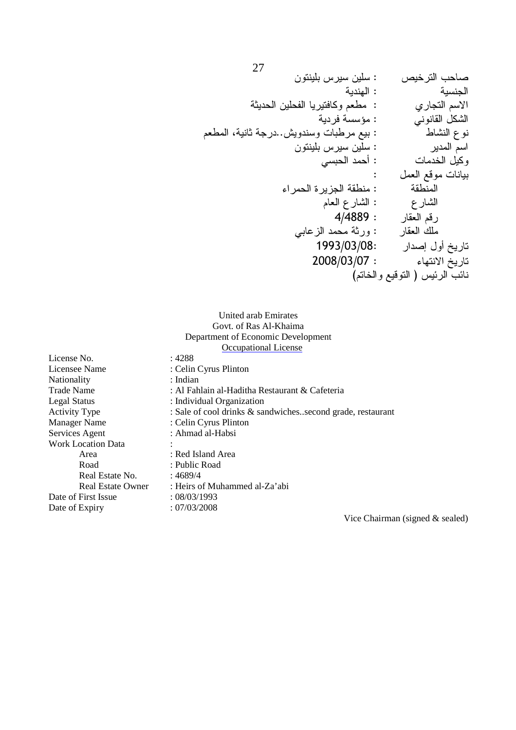| صاحب الترخيص                    | : سلين سيرس بلينتون                      |
|---------------------------------|------------------------------------------|
| الجنسية                         | : الهندية                                |
| الاسم التجاري                   | : مطعم وكافتيريا الفحلين الحديثة         |
| الشكل القانوني                  | : مؤسسة فردية                            |
| نوع النشاط                      | : بيع مرطبات وسندويش. درجة ثانية، المطعم |
| اسم المدير                      | : سلين سيرس بلينتون                      |
| وكيل الخدمات                    | : أحمد الحبسى                            |
| بيانات موقع العمل               |                                          |
| المنطقة                         | : منطقة الجزير ة الحمر اء                |
| الشارع                          | : الشار ع العام                          |
| رقم العقار                      | 4/4889:                                  |
| ملك العقار                      | : ورثة محمد الزعابـي                     |
| تاريخ أول إصدار                 | 1993/03/08:                              |
| تاريخ الانتهاء                  | 2008/03/07:                              |
| نائب الرئيس ( النوقيع و الخاتم) |                                          |
|                                 |                                          |

### United arab Emirates Govt. of Ras Al-Khaima Department of Economic Development Occupational License

License No. : 4288<br>
License Name : Celin : Celin Cyrus Plinton<br>: Indian Nationality Trade Name : Al Fahlain al-Haditha Restaurant & Cafeteria Legal Status : Individual Organization Activity Type : Sale of cool drinks & sandwiches..second grade, restaurant Manager Name : Celin Cyrus Plinton Manager Name : Celin Cyrus Plinton<br>Services Agent : Ahmad al-Habsi : Ahmad al-Habsi Work Location Data : Area : Red Island Area Road : Public Road<br>Real Estate No. : 4689/4 Real Estate No. Real Estate Owner : Heirs of Muhammed al-Za'abi Date of First Issue : 08/03/1993<br>Date of Expiry : 07/03/2008 Date of Expiry

Vice Chairman (signed & sealed)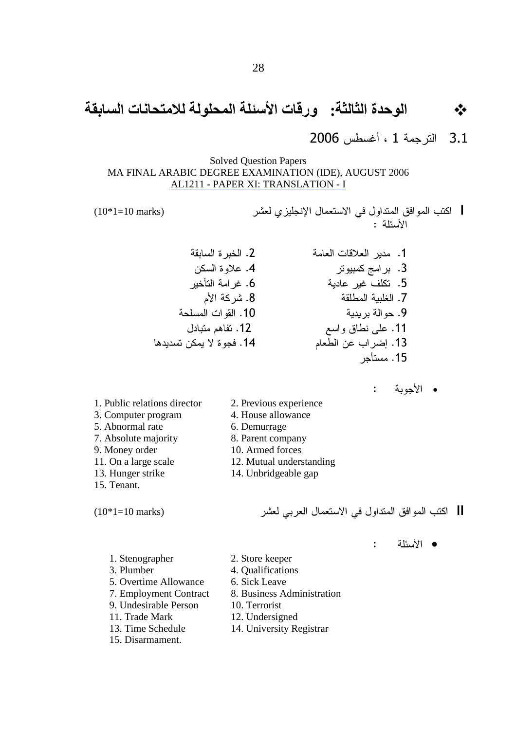#### الوحدة الثالثة: ورقات الأسئلة المحلولة للامتحانات السابقة  $\frac{1}{2}$

الترجمة 1 ، أغسطس 2006  $3.1$ 

**Solved Question Papers** MA FINAL ARABIC DEGREE EXAMINATION (IDE), AUGUST 2006 AL1211 - PAPER XI: TRANSLATION - I

 $(10*1=10 \text{ marks})$ 

| اكتب الموافق المتداول في الاستعمال الإنجليزي لعشر  $\cdot$   $\ddot{a}$   $\ddot{b}$   $\ddot{b}$   $\ddot{b}$   $\ddot{c}$ 

- 2. الخدر ة السابقة 1. مدبر العلاقات العامة 4. علاوة السكن 3. برامج كمبيوتر 6. غر امة التأخبر 5. تكلف غبر عادبة 7. الغلببة المطلقة 8. شركة الأم 9. حو الة بر بدبة 10. القوات المسلحة 11. على نطاق واسع 12. تفاهم متبادل 13. إضراب عن الطعام 14. فجوة لا بمكن تسديدها 15. مستأجر
	- الأجوبة :

1. Public relations director 2. Previous experience

- 3. Computer program 4. House allowance
	- 6. Demurrage
	- 8. Parent company
	- 10. Armed forces
	- 12. Mutual understanding
	- 14. Unbridgeable gap
- 13. Hunger strike 15. Tenant.

5. Abnormal rate

9. Money order

7. Absolute majority

11. On a large scale

 $(10*1=10 \text{ marks})$ 

|| اكتب الموافق المتداول في الاستعمال العربي لعشر

- الأسئلة  $\mathbf{L}$
- 1. Stenographer 2. Store keeper 3. Plumber 4. Oualifications 5. Overtime Allowance 6. Sick Leave 8. Business Administration 7. Employment Contract 9. Undesirable Person 10. Terrorist 11. Trade Mark 12. Undersigned 13. Time Schedule 14. University Registrar 15. Disarmament.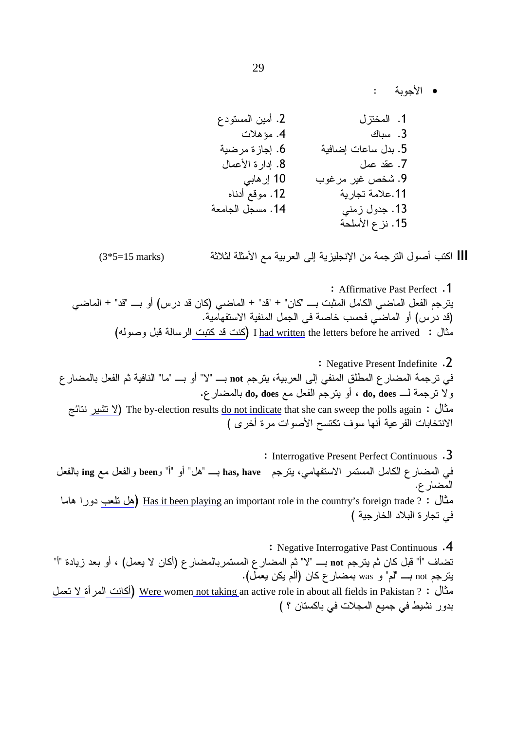• الأحوية :

||| اكتب أصول الترجمة من الإنجليزية إلى العربية مع الأمثلة لثلاثة

 $(3*5=15 \text{ marks})$ 

: Affirmative Past Perfect .1 يترجم الفعل الماضبي الكامل المثبت بـــ "كان" + "قد" + الماضبي (كان قد درس) أو بـــ "قد" + الماضبي (قد درس) أو الماضي فحسب خاصة في الجمل المنفية الاستفهامية. مثال : I had written the letters before he arrived (كنت قد كتبت الرسالة قبل وصوله)

: Negative Present Indefinite .2 في ترجمة المضار ع المطلق المنفي إلى العربية، يترجم not بــــ "لا" أو بــــ "ما" النافية ثم الفعل بالمضار ع ولا نرجمة لــــ do, does ، أو يترجم الفعل مع do, does بالمضارع. مثال : The by-election results <u>do not indicate</u> that she can sweep the polls again (لا تشير نتائج الانتخابات الفرعية أنها سوف تكتسح الأصوات مرة أخرى )

: Interrogative Present Perfect Continuous .3 في المضارع الكامل المستمر الاستفهامي، يترجم has, have بـــ "هل" أو "أ" و been والفعل مع ing بالفعل المضار ع. مثال : ? <u>Has it been playing</u> an important role in the country's foreign trade (هل نلعب دورا هاما في نجارة البلاد الخارجية )

: Negative Interrogative Past Continuous .4 تضاف "أ" قبل كان ثم يترجم not بـــ "لا" ثم المضار ع المستمربالمضار ع (أكان لا يعمل) ، أو بعد زيادة "أ" يترجم not بــــ "لم" و was بمضارع كان (ألم يكن يعمل). مثال : ? <u>Were women not taking </u>an active role in about all fields in Pakistan (أكانت المرأة لا تعمل بدور نشيط في جميع المجلات في باكستان ؟ )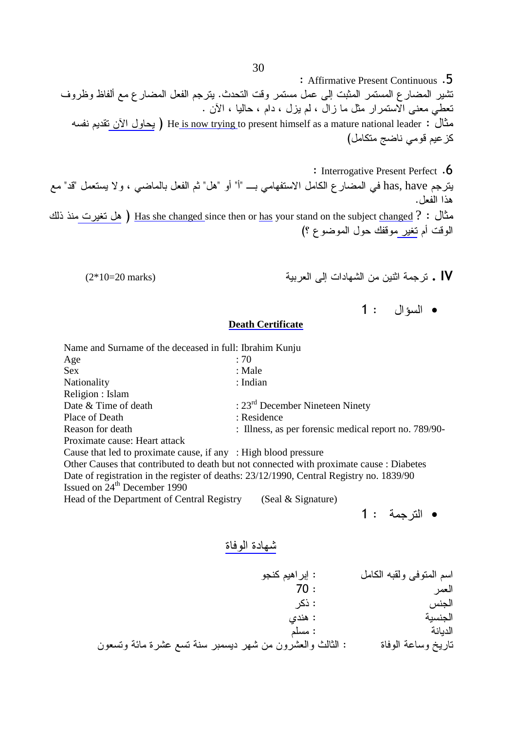: Affirmative Present Continuous .5 نشير المضارع المستمر المثبت إلى عمل مستمر وقت التحدث. يترجم الفعل المضارع مع ألفاظ وظروف تعطي معنى الاستمرار مثل ما زال ، لم يزل ، دام ، حاليا ، الأن . مثال : He<u> is now trying </u>to present himself as a mature national leader ( بيحاول الآن تقديم نفسه كز عيم قومي ناضج متكامل)

- : Interrogative Present Perfect .6 يترجم has, have في المضار ع الكامل الاستفهامي بــــ "أ" أو "هل" ثم الفعل بالماضـي ، و لا يستعمل "قد" مـع هذا الفعل. مثال : ? Has she changed since then or <u>has</u> your stand on the subject <u>changed (</u> هل تغيرت منذ ذلك الوقت أم تغير موقفك حول الموضوع ؟)
	- **IV .** ترجمة اثنين من الشهادات إلى العربيـ

 $(2*10=20 \text{ marks})$ 

 $1:$  السؤال  $1$ 

### **Death Certificate**

| Name and Surname of the deceased in full: Ibrahim Kunju         |                                                                                          |
|-----------------------------------------------------------------|------------------------------------------------------------------------------------------|
| Age                                                             | : 70                                                                                     |
| <b>Sex</b>                                                      | : Male                                                                                   |
| Nationality                                                     | : Indian                                                                                 |
| Religion : Islam                                                |                                                                                          |
| Date & Time of death                                            | : $23rd$ December Nineteen Ninety                                                        |
| Place of Death                                                  | : Residence                                                                              |
| Reason for death                                                | : Illness, as per forensic medical report no. 789/90-                                    |
| Proximate cause: Heart attack                                   |                                                                                          |
| Cause that led to proximate cause, if any : High blood pressure |                                                                                          |
|                                                                 | Other Causes that contributed to death but not connected with proximate cause : Diabetes |
|                                                                 | Date of registration in the register of deaths: 23/12/1990, Central Registry no. 1839/90 |
| Issued on 24 <sup>th</sup> December 1990                        |                                                                                          |
| Head of the Department of Central Registry                      | (Seal & Signature)                                                                       |

**•** الترجمة : 1

### شهادة الوفاة

 
& 9; : , & @2

 9 70 : &: : 4 C; : - 9! : - 

 -1 <8 7 - < 
<
 J : 
 -8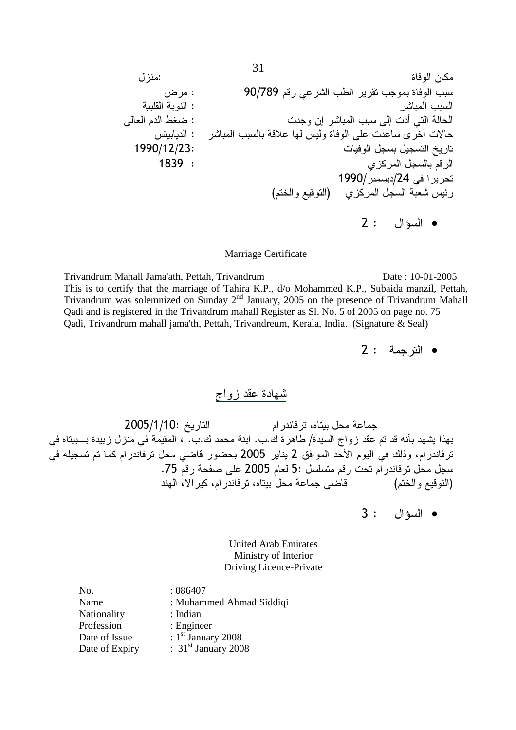, : & I : 90/789 93 '8< %/ 2 %
 % -!2 - : < % ' 9 /\$> : 
 < %  ' - 4 : < % -3)8 4
 !8 8 A\* + 1990/12/23:  , , 1839 : C & , 93 1990//24 ' ( 9\*
 73
) C & , -< 41 2 : •

### Marriage Certificate

Trivandrum Mahall Jama'ath, Pettah, Trivandrum Date : 10-01-2005 This is to certify that the marriage of Tahira K.P., d/o Mohammed K.P., Subaida manzil, Pettah, Trivandrum was solemnized on Sunday 2nd January, 2005 on the presence of Trivandrum Mahall Qadi and is registered in the Trivandrum mahall Register as Sl. No. 5 of 2005 on page no. 75 Qadi, Trivandrum mahall jama'th, Pettah, Trivandreum, Kerala, India. (Signature & Seal)

**•** الترجمة : 2

شهادة عقد زواج

 2005/1/10 : جماعة محل بيتاه، ترفاندر ام الذ بهذا يشهد بأنه قد تم عقد زواج السيدة/ طاهرة ك.ب. ابنة محمد ك.ب. ، المقيمة في منزل زبيدة بـــبيتاه في ترفاندر ام، وذلك في اليوم الأحد الموافق 2 يناير 2005 بحضور قاضي محل ترفاندر ام كما تم تسجيله في سجل محل ترفاندر ام تحت رقم متسلسل :5 لعام 2005 على صفحة رقم 75. اضي جماعة محل بيتاه، ترفاندر ام، كير الا، الهند (النوقيع والختم)

3 : •

United Arab Emirates Ministry of Interior Driving Licence-Private

No. : 086407 Name : Muhammed Ahmad Siddiqi Nationality : Indian Profession : Engineer Date of Issue  $: 1<sup>st</sup>$  January 2008 Date of Expiry : 31<sup>st</sup> January 2008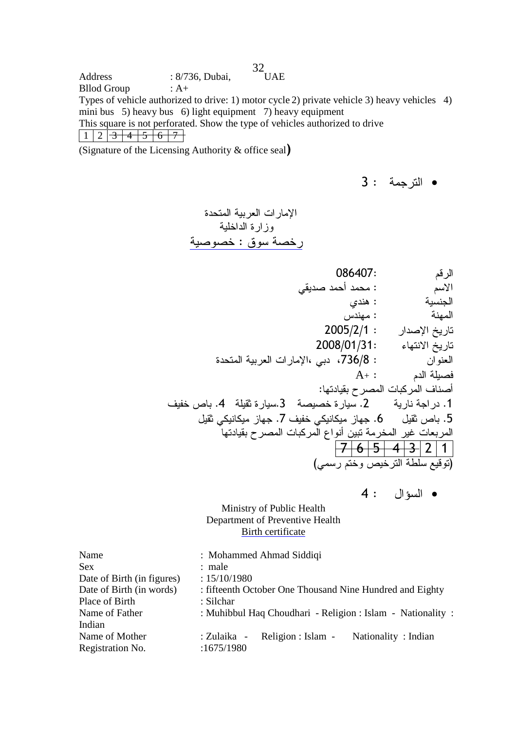32  $Address : 8/736, Dubai,$ Bllod Group : A+ Types of vehicle authorized to drive: 1) motor cycle 2) private vehicle 3) heavy vehicles 4) mini bus 5) heavy bus 6) light equipment 7) heavy equipment This square is not perforated. Show the type of vehicles authorized to drive  $1 2 3 4 5 6 7$ 

(Signature of the Licensing Authority & office seal)

**•** الترجمة : 3

 - " -!\* -#!!" : -!"

| 086407:                                                  | الرقم                           |
|----------------------------------------------------------|---------------------------------|
| : محمد أحمد صديقى                                        | الأسم                           |
| : هندي                                                   | الجنسية                         |
| : مهندس                                                  | المهنة                          |
| $2005/2/1$ :                                             | تاريخ الإصدار                   |
| 2008/01/31:                                              | تاريخ الانتهاء                  |
| : 736/8، دبي ،الإمارات العربية المتحدة                   | العنوان                         |
| $\mathrm{A}_{^{+}}:$                                     | فصبلة الدم                      |
|                                                          | أصناف المركبات المصرح بقيادتها: |
| 2. سيارة خصبصة    3.سيارة ثقبلة    4. باص خفيف           | 1. در اجة نارية                 |
| 6. جهاز میکانیکی خفیف 7. جهاز میکانیکی ثقیل              | 5. باص ثقيل                     |
| المربعات غير المخرمة تبين أنواع المركبات المصرح بقيادتها |                                 |
|                                                          | <del>7 6 5 4 3</del> 2 1        |
|                                                          | (توقيع سلطة الترخيص وختم رسمي)  |

4 : •

### Ministry of Public Health Department of Preventive Health Birth certificate

| : Mohammed Ahmad Siddiqi                                    |
|-------------------------------------------------------------|
| : male                                                      |
| : 15/10/1980                                                |
| : fifteenth October One Thousand Nine Hundred and Eighty    |
| : Silchar                                                   |
| : Muhibbul Haq Choudhari - Religion : Islam - Nationality : |
|                                                             |
| Religion : Islam -<br>Nationality: Indian<br>: Zulaika -    |
| :1675/1980                                                  |
|                                                             |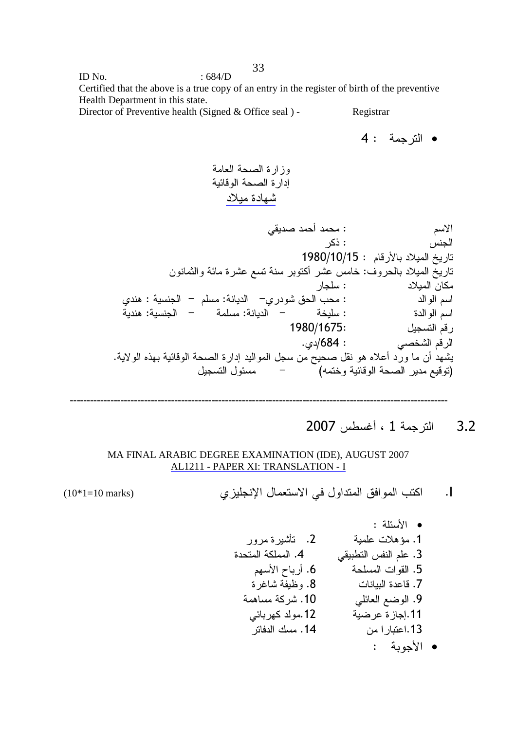ID No.  $\qquad \qquad$  : 684/D Certified that the above is a true copy of an entry in the register of birth of the preventive Health Department in this state.

Director of Preventive health (Signed & Office seal ) - Registrar

$$
4: \quad \text{if } x < 4
$$

 - - -1 3
 - \$#

 '2 : 9+ &: : 4 1980/10/15 : 9 3 ) -1 <8 7 - 
& <8 4 \* :( ) ! : ) & C; : - Y 9! :- YC
< 0 % : 
 9 -; :- Y -! :- Y -\*! : 
 9 1980/1675: , 93 C. /684 : '\*< 93 . -+
 Q: -1 3
 - 
 , K ,2 
; Q)8 
 < , ,
1 Y (@\*
 -1 3
 -73
)

$$
-\frac{1}{2} \left( \frac{1}{2} \left( \frac{1}{2} \left( \frac{1}{2} \left( \frac{1}{2} \left( \frac{1}{2} \left( \frac{1}{2} \left( \frac{1}{2} \left( \frac{1}{2} \left( \frac{1}{2} \left( \frac{1}{2} \left( \frac{1}{2} \left( \frac{1}{2} \left( \frac{1}{2} \right) \right) \right) \right) \right) \right) \right) \right) \left( \frac{1}{2} \left( \frac{1}{2} \left( \frac{1}{2} \left( \frac{1}{2} \left( \frac{1}{2} \left( \frac{1}{2} \left( \frac{1}{2} \right) \right) \right) \right) \right) \right) \left( \frac{1}{2} \left( \frac{1}{2} \left( \frac{1}{2} \left( \frac{1}{2} \left( \frac{1}{2} \left( \frac{1}{2} \left( \frac{1}{2} \left( \frac{1}{2} \right) \right) \right) \right) \right) \right) \right) \left( \frac{1}{2} \left( \frac{1}{2} \left( \frac{1}{2} \left( \frac{1}{2} \left( \frac{1}{2} \left( \frac{1}{2} \left( \frac{1}{2} \left( \frac{1}{2} \left( \frac{1}{2} \left( \frac{1}{2} \left( \frac{1}{2} \right) \right) \right) \right) \right) \right) \right) \right) \right) \left( \frac{1}{2} \left( \frac{1}{2} \left( \frac{1}{2} \left( \frac{1}{2} \left( \frac{1}{2} \left( \frac{1}{2} \left( \frac{1}{2} \left( \frac{1}{2} \left( \frac{1}{2} \left( \frac{1}{2} \left( \frac{1}{2} \left( \frac{1}{2} \left( \frac{1}{2} \left( \frac{1}{2} \right) \right) \right) \right) \right) \right) \right) \right) \right) \right) \right) \right) \left( \frac{1}{2} \left( \frac{1}{2} \left( \frac{1}{2} \left( \frac{1}{2} \left( \frac{1}{2} \left( \frac{1}{2} \left( \frac{1}{2} \left( \frac{1}{2} \left( \frac{1}{2} \left( \frac{
$$

3.2 الترجمة 1 ، أغسطس 2007

### MA FINAL ARABIC DEGREE EXAMINATION (IDE), AUGUST 2007 AL1211 - PAPER XI: TRANSLATION - I

(10\*1=10 marks) %#&'( )\* + ,- .I

$$
(10*1=10 \text{ marks})
$$

 : -!1 • 
 <L .2 -!8 );a .1 -&! .4 '2/ 4- 9!8 .3 9 Z .6 -! 
2 .5 5 < --D
 .8  8 3 .7 -; -&< .10 '!1 7>
 .9 '1 & 
.12 ->8 .11 ? .14 8.13 : -./ •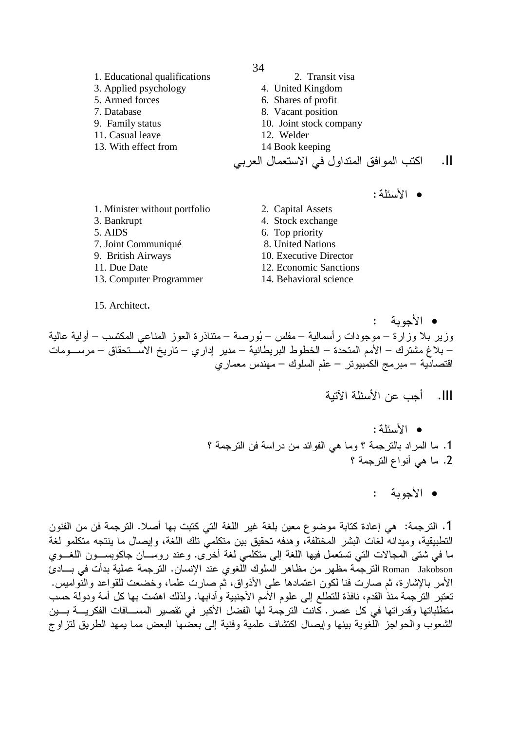- 1. Educational qualifications 2. Transit visa 3. Applied psychology 4. United Kingdom 5. Armed forces 6. Shares of profit 7. Database 8. Vacant position 9. Family status 10. Joint stock company 11. Casual leave 12. Welder 13. With effect from 14 Book keeping اكتب المو افق المتداول في الاستعمال العربي  $\overline{.}$ II • الأسئلة: 1. Minister without portfolio 2. Capital Assets
- 3. Bankrupt
- 5. AIDS
- 7. Joint Communiqué
- 9. British Airways
- 11. Due Date
- 13. Computer Programmer

15. Architect.

4. Stock exchange 6. Top priority 8. United Nations 10. Executive Director 12. Economic Sanctions 14. Behavioral science

- الأحدية وزير بلا وزارة – موجودات رأسمالية – مفلس – بُورصة – متناذرة العوز المناعي المكتسب – أولية عالية – بلاغ مشترك – الأمم المتحدة – الخطوط البريطانية – مدير إداري – تاريخ الاســـتحقاق – مرســـومات اقتصادية – مبرمج الكمبيوتر – علم السلوك – مهندس معمارى
	- **III.** أحب عن الأسئلة الآتية
	- الأسئلة: 1. ما المراد بالترجمة ؟ وما هي الفوائد من دراسة فن الترجمة ؟ 2. ما هي أنواع الترجمة ؟
		- الأحوية :

1. التر جمة: هي إعادة كتابة موضوع معين بلغة غير اللغة التي كتبت بها أصلا. التر جمة فن من الفنون التطبيقية، وميدانه لغات البشر المختلفة، وهدفه تحقيق بين متكلميّ تلك اللغة، وإيصال ما ينتجه متكلمو لغة ما في شتى المجالات التي تستعمل فيها اللغة إلى متكلمي لغة أخرَّى. وعند رومـــان جاكوبســـون اللغـــوي .<br>Roman Jakobson النرجمة مظهر من مظاهر السلوك اللُّغوي عند الإنسان. النرجمة عملية بدأت في بــــادئ الأمر بالإشارة، ثم صارت فنا لكون اعتمادها على الأذواق، ثم صارت علما، وخضعت للقواعد والنَّواميس. تعتبر الترجمة منذ القدم، نافذة للتطلع إلى علوم الأمم الأجنبية وأدابها. ولذلك اهتمت بها كل أمة ودولة حسب متطلباتها وقدراتها في كل عصر . كانت الترجمة لها الفضل الأكبر في تقصير المســـافات الفكريــــة بـــين الشعوب والحواجز اللُّغوية بينها وإيصال اكتشاف علمية وفنية إلى بعضَّها البعض مما يمهد الطريق لتزاوج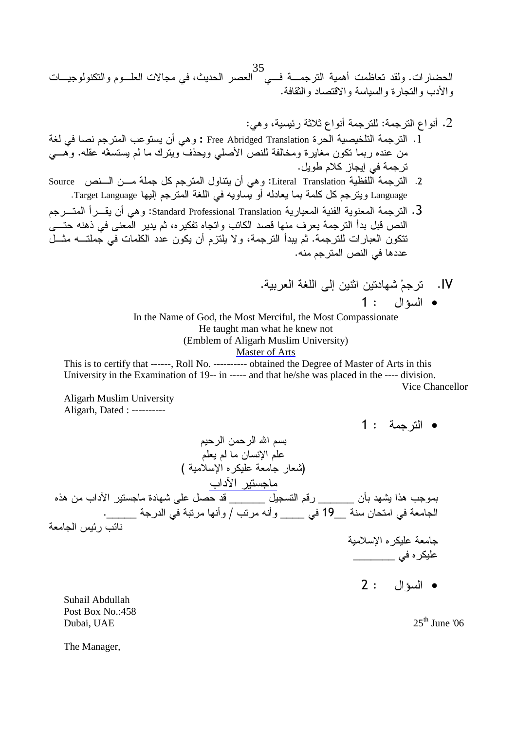35 الحضارات. ولقد تعاظمت أهمية الترجمــــة فــــي العصر الحديث، في مجالات العلـــوم والتكنولوجيــــات والأدب والنجارة والسياسة والاقتصاد والثقافة.

- 2. أنواع الترجمة: للترجمة أنواع ثلاثة رئيسية، وهي: 1. الترجمة التلخيصية الحرـة Free Abridged Translation : و هي أن يستوعب المترجم نصـا في لغة من عنده ربما نكون مغايرة ومخالفة للنص الأصلي ويحذف ويترك ما لم يستسغه عقله. وهـــي ترجمة في إيجاز كلام طويل.
- 2. الترجمة اللفظية Literal Translation: و هي أن ينتاول المترجم كل جملة مـــن الـــنص Source Language ويترجم كل كلمة بما يعادله أو يساويه في اللغة المترجم إليها Target Language.
- 3. الترجمة المعنوية الفنية المعيارية Standard Professional Translation: وهي أن يقـــرأ المتــــرجم النص قبل بدأ النرجمة يعرف منها قصد الكاتب واتجاه تفكيره، ثم يدير المعنى في ذهنه حتــــى نتكون العبارات للترجمة. ثم يبدأ الترجمة، ولا يلتزم أن يكون عدد الكلمات في جملتـــه مثـــل عددها في النص المترجم منه.
	- IV. ترجمْ شهادتين الثنين إلى اللغة العربية.  $1:$   $\Box$

In the Name of God, the Most Merciful, the Most Compassionate He taught man what he knew not (Emblem of Aligarh Muslim University) Master of Arts

This is to certify that ------, Roll No. ---------- obtained the Degree of Master of Arts in this University in the Examination of 19-- in ----- and that he/she was placed in the ---- division. Vice Chancellor

Aligarh Muslim University Aligarh, Dated : ----------

**•** الترجمة : 1 بسم الله الرحمن الرحيم علم الإنسان ما لم يعلم (شعار جامعة عليكره الإسلامية ) ماجستير الآداب بموجب هذا يشهد بأن \_\_\_\_\_\_ رقم التسجيل \_\_\_\_\_\_ قد حصل على شهادة ماجستير الأداب من هذه الجامعة في امتحان سنة \_\_19 في \_\_\_\_ وأنه مرتب / وأنها مرتبة في الدرجة \_\_\_\_\_\_. نائب رئيس الجامعة جامعة عليكره الإسلامية عليكر ه في \_\_\_\_\_\_\_\_\_

2 : •

Suhail Abdullah Post Box No.:458 Dubai, UAE  $25<sup>th</sup>$  June '06

The Manager,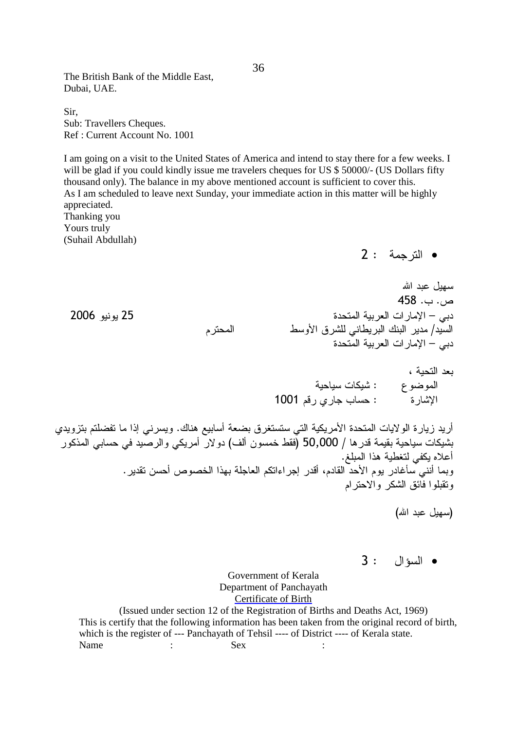The British Bank of the Middle East, Dubai, UAE.

Sir, Sub: Travellers Cheques. Ref : Current Account No. 1001

I am going on a visit to the United States of America and intend to stay there for a few weeks. I will be glad if you could kindly issue me travelers cheques for US \$ 50000/- (US Dollars fifty thousand only). The balance in my above mentioned account is sufficient to cover this. As I am scheduled to leave next Sunday, your immediate action in this matter will be highly appreciated. Thanking you

Yours truly (Suhail Abdullah)

**•** الترجمة : 2

سهيل عبد الله  $458$  .  $-$  . دبي – الإمار ات العربي 9 /
 0<! ' / ? / دبي – الإمار ات العربية المتحدة

> بعد التحية ، الموضوع : شيكات سياحية ارة : حساب جاري رقم 1001 الاشار ة

أريد زيارة الولايات المتحدة الأمريكية التي ستستغرق بضعة أسابيع هناك. ويسرنـي إذا ما تفضلتم بتزويدي بشيكات سياحية بقيمة قدر ها / 50,000 (فقط خمسون ألف) دولار أمريكي والرصيد في حسابي المذكور أعلاه يكفي لتغطية هذا المبلغ. وبما أنني سأغادر يوم الأحد القادم، أقدر إجراءاتكم العاجلة بهذا الخصوص أحسن تقدير . وتقبلوا فائق الشكر والاحترام

(سهبل عبد الله)

3 : •

Government of Kerala Department of Panchayath Certificate of Birth

(Issued under section 12 of the Registration of Births and Deaths Act, 1969) This is certify that the following information has been taken from the original record of birth, which is the register of --- Panchayath of Tehsil ---- of District ---- of Kerala state. Name : Sex :

25 يونيو 2006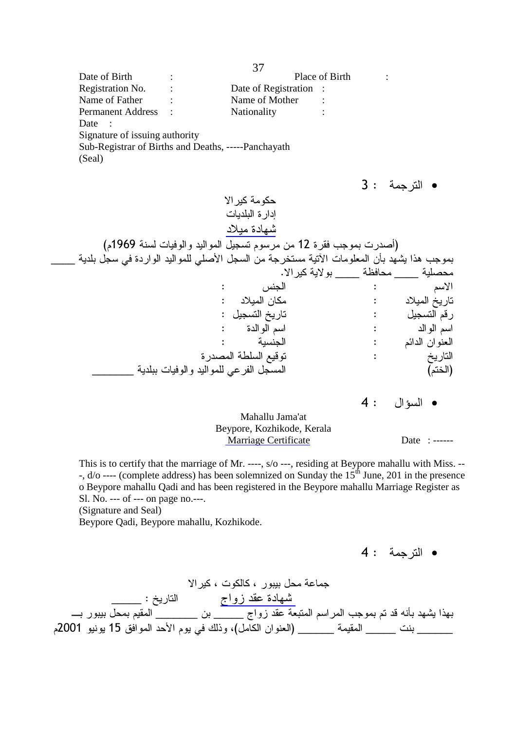37 Date of Birth : Place of Birth : Registration No. : Date of Registration : Name of Father : Name of Mother : Permanent Address : Nationality : Date : Signature of issuing authority Sub-Registrar of Births and Deaths, -----Panchayath (Seal)

 3 : - • +& -& ! \$# 9( 1969 - 
 , 9
 12 2 %
 ) \_\_\_\_ -! , ' 

! '! , -\* f  ! L < :; % . +& -+
 \_\_\_\_ -D \_\_\_\_ -! : 4 : 9+ : ) & : ) : , : , 93 : 
 9 : 
 9 : - : 91 -/! 73
 : \_\_\_\_\_\_\_ -!  
! '8- , (9\*)

 $4:$  السؤال  $4$ 

Mahallu Jama'at Beypore, Kozhikode, Kerala Marriage Certificate Date : ------

This is to certify that the marriage of Mr. ----, s/o ---, residing at Beypore mahallu with Miss. -- -, d/o ---- (complete address) has been solemnized on Sunday the 15<sup>th</sup> June, 201 in the presence o Beypore mahallu Qadi and has been registered in the Beypore mahallu Marriage Register as Sl. No. --- of --- on page no.---.

(Signature and Seal)

Beypore Qadi, Beypore mahallu, Kozhikode.

4 : - •

جماعة محل بيبور ، كالكوت ، كير الا \_شمهادة عقد زواج الناريخ : \_\_\_\_\_\_ بهذا يشهد بأنه قد تم بموجب المراسم المتبعة عقد زواج \_\_\_\_\_\_ بن \_\_\_\_\_\_\_ المقيم بمحل ببيور بـ\_ \_\_\_\_\_\_\_ بنت \_\_\_\_\_\_ المقيمة \_\_\_\_\_\_ (العنوان الكامل)، وذلك في يوم الأحد الموافق 15 يونيو 2001م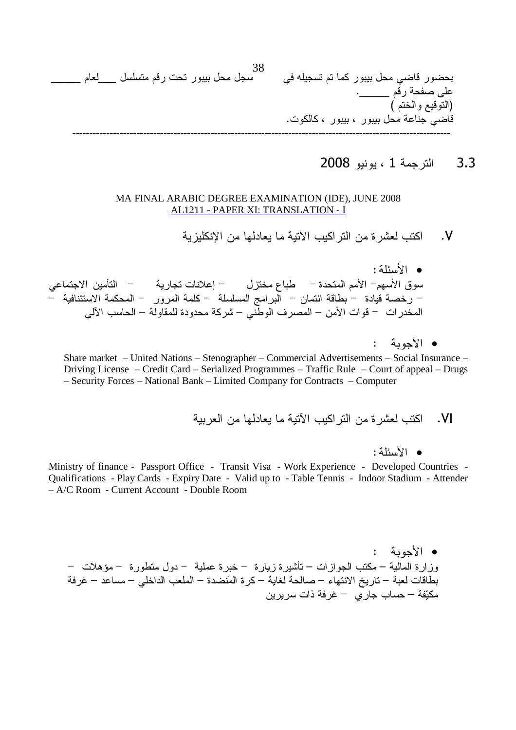

3.3 الترجمة 1 ، يونيو 2008

### MA FINAL ARABIC DEGREE EXAMINATION (IDE), JUNE 2008 AL1211 - PAPER XI: TRANSLATION - I

.<br>V. اكتب لعشرة من النراكيب الأنية ما يعادلها من الإنكليزية

 :-&0/ • سوق الأسهم– الأمم المتحدة – طباع مختزل – إعلانات تجارية – التأمين الاجتماعي – رخصة قيادة – بطاقة ائتمان – البر امج المسلسلة – كلمة المرور – المحكمة الاستئنافية – المخدر ات – قو ات الأمن – المصر ف الوطني – شركة محدودة للمقاولة – الحاسب الآلي

• الأجوبة :

Share market – United Nations – Stenographer – Commercial Advertisements – Social Insurance – Driving License – Credit Card – Serialized Programmes – Traffic Rule – Court of appeal – Drugs – Security Forces – National Bank – Limited Company for Contracts – Computer

-#.) 2 )# -#1 ,#- 2 ) ,- .VI

:-&0/ •

Ministry of finance - Passport Office - Transit Visa - Work Experience - Developed Countries - Qualifications - Play Cards - Expiry Date - Valid up to - Table Tennis - Indoor Stadium - Attender – A/C Room - Current Account - Double Room

• الأجوبة : وزارة المالية – مكتب الجوازات – تأشيرة زيارة – خبرة عملية – دول متطورة – مؤهلات – بطاقات لعبة – تاريخ الانتهاء – صالحة لغاية – كرة المَنضدة – الملعب الداخلي – مساعد – غرفة مكيّفة – حساب جاري – غرفة ذات سريرين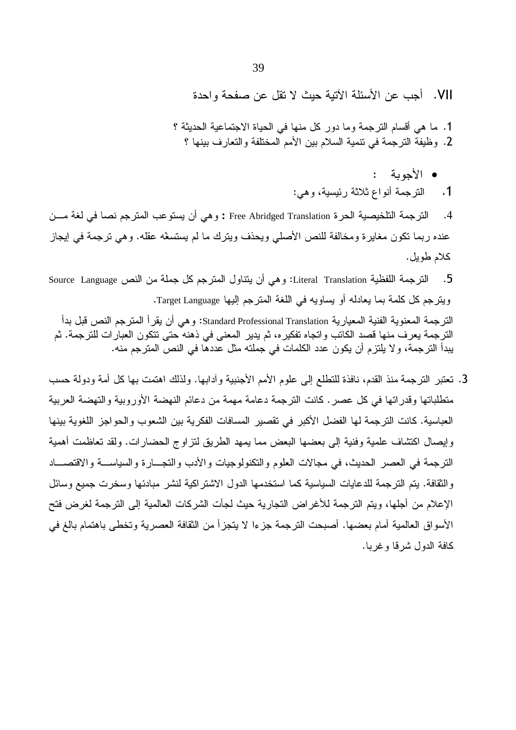VII. أجب عن الأسئلة الأتية حيث لا تقل عن صفحة واحدة

1. ما هي أقسام الترجمة وما دور كل منها في الحياة الاجتماعية الحديثة ؟ 2. وظيفة الترجمة في نتمية السلام بين الأمم المختلفة والتعارف بينها ؟

- الأجوبة :
- 1. الترجمة أنواع ثلاثة رئيسية، وهي:

الترجمة التلخيصية الحرة Free Abridged Translation : وهي أن يستوعب المترجم نصا في لغة مـــن  $\cdot$ .4 عنده ربما نكون مغايرة ومخالفة للنص الأصلي ويحذف ويترك ما لم يستسغه عقله. وهي ترجمة في إيجاز كلام طويل.

الترجمة اللفظية Literal Translation: وهي أن يتناول المترجم كل جملة من النص Source Language  $.5$ ويترجم كل كلمة بما يعادله أو يساويه في اللغة المترجم إليها Target Language. الترجمة المعنوية الفنية المعيارية Standard Professional Translation: وهي أن يقرأ المترجم النص قبل بدأ الترجمة يعرف منها قصد الكاتب واتجاه تفكيره، ثم يدير المعنى في ذهنه حتى تتكون العبارات للترجمة. ثم يبدأ النرجمة، ولا يلتزم أن يكون عدد الكلمات في جملته مثل عددها في النص المنزجم منه.

3. تعتبر الترجمة منذ القدم، نافذة للتطلع إلى علوم الأمم الأجنبية وأدابها. ولذلك اهتمت بها كل أمة ودولة حسب متطلباتها وقدراتها في كل عصر . كانت الترجمة دعامة مهمة من دعائم النهضة الأوروبية والتهضة العربية العباسية. كانت الترجمة لها الفضل الأكبر في تقصير المسافات الفكرية بين الشعوب والحواجز اللغوية بينها وإيصال اكتشاف علمية وفنية إلى بعضها البعض مما يمهد الطريق لتزاوج الحضارات. ولقد تعاظمت أهمية النرجمة في العصر الحديث، في مجالات العلوم والنكنولوجيات والأدب والنجسارة والسياســـة والاقتصـــاد والثقافة. يتم الترجمة للدعايات السياسية كما استخدمها الدول الاشتراكية لنشر مبادئها وسخرت جميع وسائل الإعلام من أجلها، ويتم الترجمة للأغراض التجارية حيث لجأت الشركات العالمية إلى الترجمة لغرض فتح الأسواق العالمية أمام بعضها. أصبحت الترجمة جزءا لا يتجزأ من الثقافة العصرية وتخطى باهتمام بالغ في كافة الدول شرقا وغربا.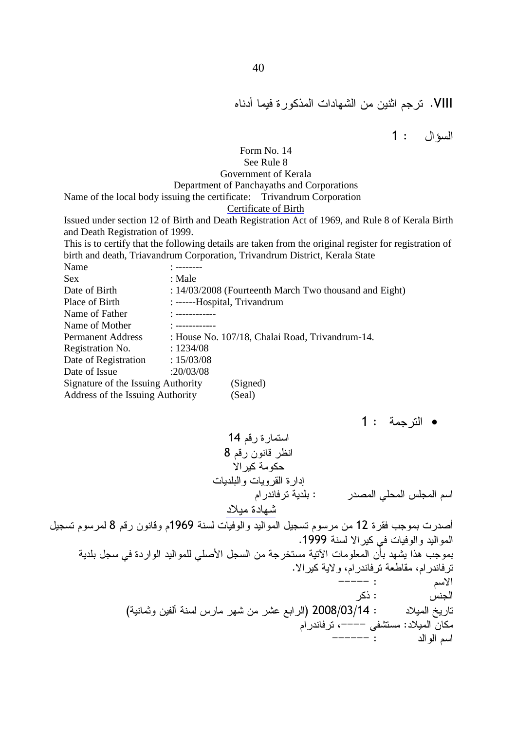# VIII. ترجم اثنين من الشهادات المذكور ة فيما أدناه

السؤال : 1

### Form No. 14

### See Rule 8

### Government of Kerala

### Department of Panchayaths and Corporations

Name of the local body issuing the certificate: Trivandrum Corporation

### Certificate of Birth

Issued under section 12 of Birth and Death Registration Act of 1969, and Rule 8 of Kerala Birth and Death Registration of 1999.

This is to certify that the following details are taken from the original register for registration of birth and death, Triavandrum Corporation, Trivandrum District, Kerala State

| Name                               |                                                        |
|------------------------------------|--------------------------------------------------------|
| <b>Sex</b>                         | : Male                                                 |
| Date of Birth                      | : 14/03/2008 (Fourteenth March Two thousand and Eight) |
| Place of Birth                     | : ------Hospital, Trivandrum                           |
| Name of Father                     | <u>* ------------</u>                                  |
| Name of Mother                     |                                                        |
| <b>Permanent Address</b>           | : House No. 107/18, Chalai Road, Trivandrum-14.        |
| Registration No.                   | : 1234/08                                              |
| Date of Registration               | : 15/03/08                                             |
| Date of Issue                      | :20/03/08                                              |
| Signature of the Issuing Authority | (Signed)                                               |
| Address of the Issuing Authority   | (Seal)                                                 |

**•** الترجمة : 1

14 93 8 93 3 D +& -& !
  2 9 -! : '! 4! 9 \$#

أصدرت بموجب فقرة 12 من مرسوم تسجيل المواليد والوفيات لسنة 1969م وقانون رقم 8 لمرسوم تسجيل المواليد والوفيات في كير الا لسنة 1999. بموجب هذا يشهد بأن المعلومات الأتية مستخرجة من السجل الأصلي للمواليد الواردة في سجل بلدية ترفاندر ام، مقاطعة ترفاندر ام، و لاية كير الا. YYYYY : 9+ الجنس : ذكر ( - - - 4 < <8 7 ) 2008/03/14 : ) مكان الميلاد: مستشفى ––––، ترفاندر ام YYYYYY : 
 9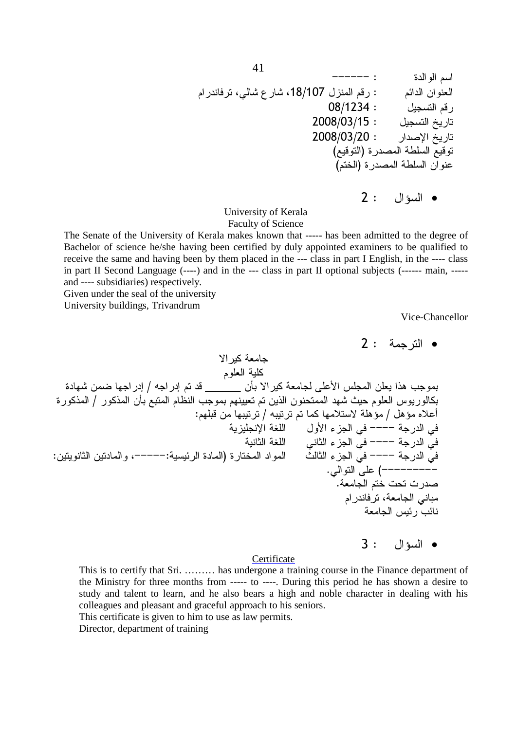YYYYYY : 
 9 9 6' < < 618/107 , 93 : 91 08/1234 : , 93 2008/03/15 : , 2008/03/20 : " ( 73
) -/! 73 (9\*) -/! 
8

 $2:$  السؤال  $2$ 

University of Kerala Faculty of Science

The Senate of the University of Kerala makes known that ----- has been admitted to the degree of Bachelor of science he/she having been certified by duly appointed examiners to be qualified to receive the same and having been by them placed in the --- class in part I English, in the ---- class in part II Second Language (----) and in the --- class in part II optional subjects (------ main, ---- and ---- subsidiaries) respectively.

Given under the seal of the university

University buildings, Trivandrum

Vice-Chancellor

**•** الترجمة : 2

+& - 9
! -!& < > / @ 9 3 \_\_\_\_\_\_ L +& - !8 4! ! :; % 
&: / 
&: L 7 9 D %
 9 9 : 
 < J 9
! 4 & : 9!3 / @ 9 & )+ -!;a / ,;a Q)8 - !" -\$! ,
 N ' YYYY - ' - -\$! ' N ' YYYY - ' : 6 YYYYY:-1 ) \* 
 J N ' YYYY - ' . '
 !8 ( YYYYYYYYY . - 9\*   9 6- ' - 41 %1 

3 : •

### **Certificate**

This is to certify that Sri. ……… has undergone a training course in the Finance department of the Ministry for three months from ----- to ----. During this period he has shown a desire to study and talent to learn, and he also bears a high and noble character in dealing with his colleagues and pleasant and graceful approach to his seniors.

This certificate is given to him to use as law permits.

Director, department of training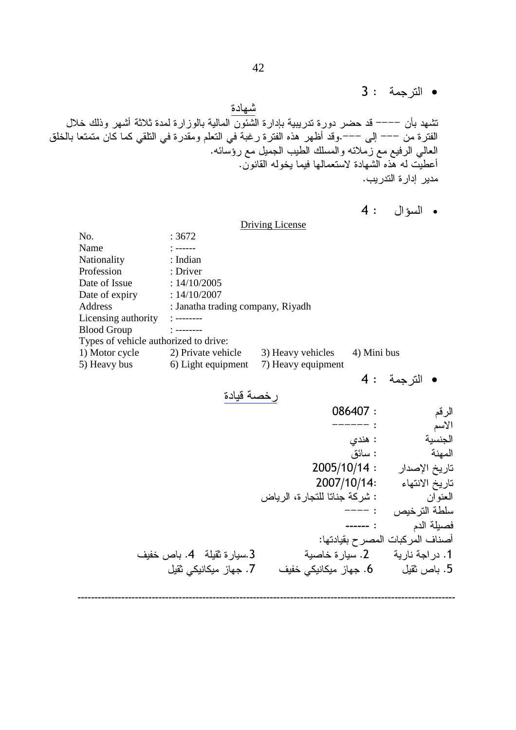• الترجمة : 3

شهادة تشهد بأن –––– قد حضر دورة تدريبية بإدارة الشئون المالية بالوزارة لمدة ثلاثة أشهر وذلك خلال الفتر ة من ––– إلى –––.وقد أظهر هذه الفتر ة رغبة في النعلم ومقدر ة في النلقي كما كان متمتعا بالخلق العالي الرفيع مع زملائه والمسلك الطيب الجميل مع رؤسائه. أعطيت لـه هذه الشـهادة لاستعمالـها فيمـا يـخولـه القانون. مدير ادار ة التدر بب.

```
4: السؤال 4:
```
Driving License No. : 3672 Name : ------Nationality : Indian Profession : Driver Date of Issue :  $14/10/2005$ Date of expiry :  $14/10/2007$ Address : Janatha trading company, Riyadh Licensing authority : --------Blood Group : -------- Types of vehicle authorized to drive: 1) Motor cycle 2) Private vehicle 3) Heavy vehicles 4) Mini bus 5) Heavy bus 6) Light equipment 7) Heavy equipment  $4:$ • الترجمة رخصة قيادة 086407 : 93 -------- :<br>الاسم : هندی الجنسية 01 : -المهنة  $2005/10/14:$ تاريخ الإصدار 2007/10/14: N تاريخ الانته ة جناتا للتجارة، الرياض المعنو ان سلطة الترخيص : ———— ------ : 9 -! أصناف المركبات المصر ح بقيادتها: (-\* E .4 -!2 .3 -1. در اجة نارية 2. سيارة خاصدٍ از ميکانيکي <mark>خفيف 7. ج</mark>هاز ميکانيکي ثقيل 5. با*ص* ثقبل 6. جھ

----------------------------------------------------------------------------------------------------------------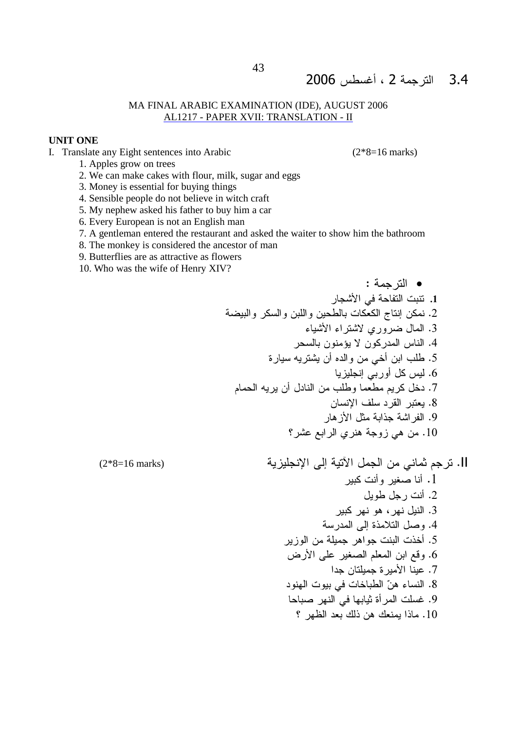# 3.4 الترجمة 2 ، أغسطس 2006

### MA FINAL ARABIC EXAMINATION (IDE), AUGUST 2006 AL1217 - PAPER XVII: TRANSLATION - II

### **UNIT ONE**

I. Translate any Eight sentences into Arabic

 $(2*8=16 \text{ marks})$ 

- 1. Apples grow on trees
- 2. We can make cakes with flour, milk, sugar and eggs
- 3. Money is essential for buying things
- 4. Sensible people do not believe in witch craft
- 5. My nephew asked his father to buy him a car
- 6. Every European is not an English man
- 7. A gentleman entered the restaurant and asked the waiter to show him the bathroom
- 8. The monkey is considered the ancestor of man
- 9. Butterflies are as attractive as flowers
- 10. Who was the wife of Henry XIV?

 $(2*8=16 \text{ marks})$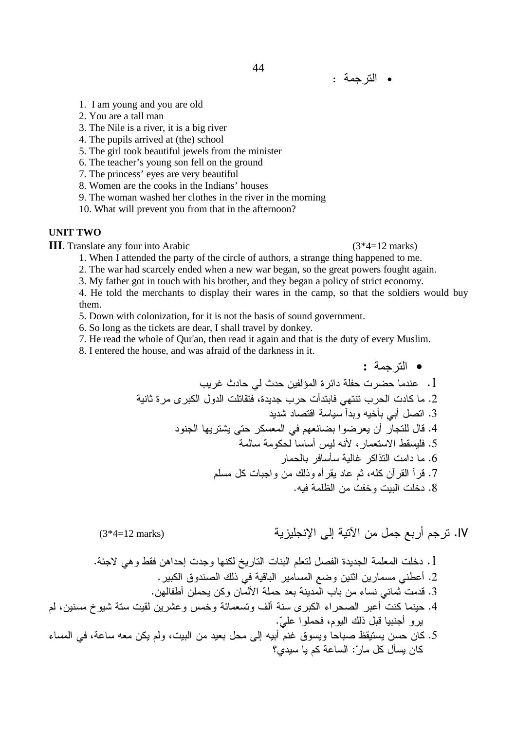- 1. I am young and you are old
- 2. You are a tall man
- 3. The Nile is a river, it is a big river
- 4. The pupils arrived at (the) school
- 5. The girl took beautiful jewels from the minister
- 6. The teacher's young son fell on the ground
- 7. The princess' eyes are very beautiful
- 8. Women are the cooks in the Indians' houses
- 9. The woman washed her clothes in the river in the morning

10. What will prevent you from that in the afternoon?

### **UNIT TWO**

**III**. Translate any four into Arabic

 $(3*4=12 \text{ marks})$ 

، لم

1. When I attended the party of the circle of authors, a strange thing happened to me.

44

2. The war had scarcely ended when a new war began, so the great powers fought again.

3. My father got in touch with his brother, and they began a policy of strict economy.

4. He told the merchants to display their wares in the camp, so that the soldiers would buy them.

5. Down with colonization, for it is not the basis of sound government.

- 6. So long as the tickets are dear, I shall travel by donkey.
- 7. He read the whole of Qur'an, then read it again and that is the duty of every Muslim.

8. I entered the house, and was afraid of the darkness in it.

IV. ترجم أربع جمل من الآتية إلى الإنجليزية

#### $\mathcal{C}$

$$
3*4=12 \text{ marks}
$$

$$
5^4 = 12
$$
 marks)

$$
\bullet
$$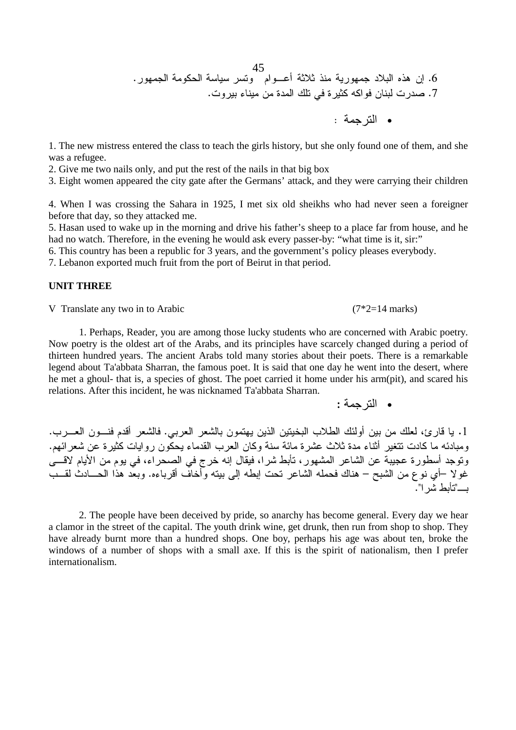45 . 
 -& - 
 9
B8 -) : - ) Q:; .6 . 
 N ?! ' & @&
  .7 : -•

1. The new mistress entered the class to teach the girls history, but she only found one of them, and she was a refugee.

2. Give me two nails only, and put the rest of the nails in that big box

3. Eight women appeared the city gate after the Germans' attack, and they were carrying their children

4. When I was crossing the Sahara in 1925, I met six old sheikhs who had never seen a foreigner before that day, so they attacked me.

5. Hasan used to wake up in the morning and drive his father's sheep to a place far from house, and he had no watch. Therefore, in the evening he would ask every passer-by: "what time is it, sir:"

6. This country has been a republic for 3 years, and the government's policy pleases everybody.

7. Lebanon exported much fruit from the port of Beirut in that period.

### **UNIT THREE**

V Translate any two in to Arabic  $(7^*2=14 \text{ marks})$ 

 1. Perhaps, Reader, you are among those lucky students who are concerned with Arabic poetry. Now poetry is the oldest art of the Arabs, and its principles have scarcely changed during a period of thirteen hundred years. The ancient Arabs told many stories about their poets. There is a remarkable legend about Ta'abbata Sharran, the famous poet. It is said that one day he went into the desert, where he met a ghoul- that is, a species of ghost. The poet carried it home under his arm(pit), and scared his relations. After this incident, he was nicknamed Ta'abbata Sharran.

• الترجمة :

1. يا قارئ، لعلك من بين أولئك الطلاب البخيتين الذين يهتمون بالشعر العربي. فالشعر أقدم فنـــون العــــرب. ومبادئه ما كادت نتغير أثناء مدة ثلاث عشرة مائة سنة وكان العرب القدماء يحكون روايات كثيرة عن شعرائهم. ونوجد أسطورة عجيبة عن الشاعر المشهور ، تأبط شرا، فيقال إنه خرج في الصحراء، في يوم من الأيام لاقــــى غولا –أي نوع من الشبح – هناك فحمله الشاعر نحت ابطه إلى بيته وأخاف أقرباءه. وبعد هذا الحـــادث لقـــب ." < /L B"

2. The people have been deceived by pride, so anarchy has become general. Every day we hear a clamor in the street of the capital. The youth drink wine, get drunk, then run from shop to shop. They have already burnt more than a hundred shops. One boy, perhaps his age was about ten, broke the windows of a number of shops with a small axe. If this is the spirit of nationalism, then I prefer internationalism.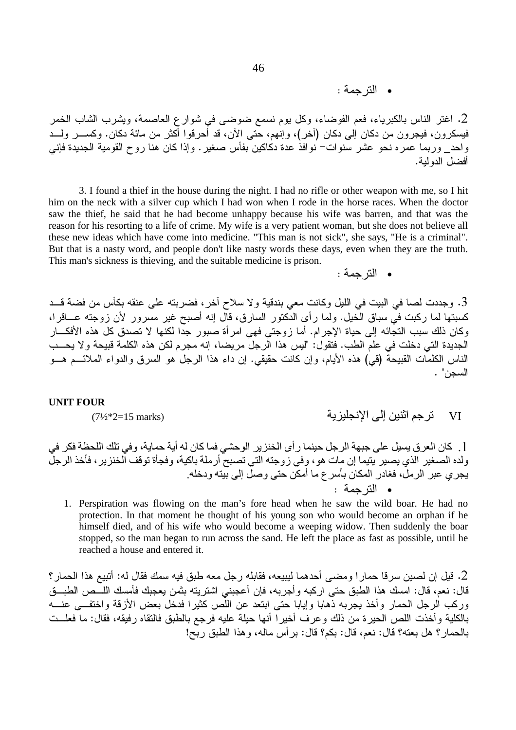• الترجمة :

2. اغتر الناس بالكبرياء، فعم الفوضاء، وكل يوم نسمع ضوضي في شوارع العاصمة، ويشرب الشاب الخمر .<br>فيسكرون، فيجرون من دكان إلى دكان (أخر)، وإنهم، حتى الأن، قد أُحرقوا أكثر من مائة دكان. وكســــر ولــــد واحد\_ وربما عمره نحو عشر سنوات− نوافذ عدة دكاكين بفأس صغير . وإذا كان هنا روح القومية الجديدة فإني أفضل الدو لبة.

3. I found a thief in the house during the night. I had no rifle or other weapon with me, so I hit him on the neck with a silver cup which I had won when I rode in the horse races. When the doctor saw the thief, he said that he had become unhappy because his wife was barren, and that was the reason for his resorting to a life of crime. My wife is a very patient woman, but she does not believe all these new ideas which have come into medicine. "This man is not sick", she says, "He is a criminal". But that is a nasty word, and people don't like nasty words these days, even when they are the truth. This man's sickness is thieving, and the suitable medicine is prison.

• الترحمة :

تر جم اثنين الى الانجليز بة

**VI** 

3. وجددت لصا في البيت في الليل وكانت معي بندقية ولا سلاح آخر ، فضربته على عنقه بكأس من فضة قــد كسبتها لما ركبت فيّ سباق الَّخيل. ولما ر أي الدَّكتور السارق، قال إنه أصبح غير مسرور لأن زوجته عـــاقر ا، وكان ذلك سبب النجَّائه إلى حياة الإجرام. أما زوجتي فهي امرأة صبور جدًّا لكنها لا تصدق كل هذه الأفكـــار الجديدة التي دخلت في علم الطب. فتقول: "ليس هذا الرجلِّ مريضا، إنه مجرم لكن هذه الكلمة قبيحة ولا يحسب الناس الكلمات القبيحةُ (قي) هذه الأيام، وإن كانت حقيقي. إن داء هذا الرجل هو السرق والدواء الملائـــم هـــو السجن" .

### **UNIT FOUR**

 $(7\frac{1}{2}*2=15 \text{ marks})$ 

[ . كان العر ق يسيل على جبهة الرجل حينما ر أي الخنزير الوحشي فما كان له أية حماية، وفي تلك اللحظة فكر في ولده الصغير الذي يصير يتيما إن مات هو، وفي زوجته التي تصبح أرملة باكية، وفجأة توقف الخنزير ، فأخذ الرجل<br>يجري عبر الرمل، فغادر المكان بأسرع ما أمكن حتى وصل إلى بيته ودخله. • الترجمة :

1. Perspiration was flowing on the man's fore head when he saw the wild boar. He had no protection. In that moment he thought of his young son who would become an orphan if he himself died, and of his wife who would become a weeping widow. Then suddenly the boar stopped, so the man began to run across the sand. He left the place as fast as possible, until he reached a house and entered it.

2. قيل إن لصين سرقا حمار ا ومضى أحدهما ليبيعه، فقابله رجل معه طبق فيه سمك فقال له: أتبيع هذا الحمار ؟ قال: نعم، قال: امسك هذا الطبق حتى اركبه وأجربه، فإن أعجبني اشتريته بثمن يعجبك فأمسك اللــَـص الطبـــق وركب الرجل الحمار وأخذ يجربه ذهابا وإيابا حتى ابتعد عن اللّص كثيرا فدخل بعض الأزقة واختفــي عنـــه بالكلية وأخذت اللص الحيرة من ذلك وعرف أخيرا أنها حيلة عليه فرجع بالطبق فالنقاه رفيقه، فقال: ما فعلــت بالحمار؟ هل بعته؟ قال: نعم، قال: بكم؟ قال: بر أس ماله، وهذا الطبق ربِّح!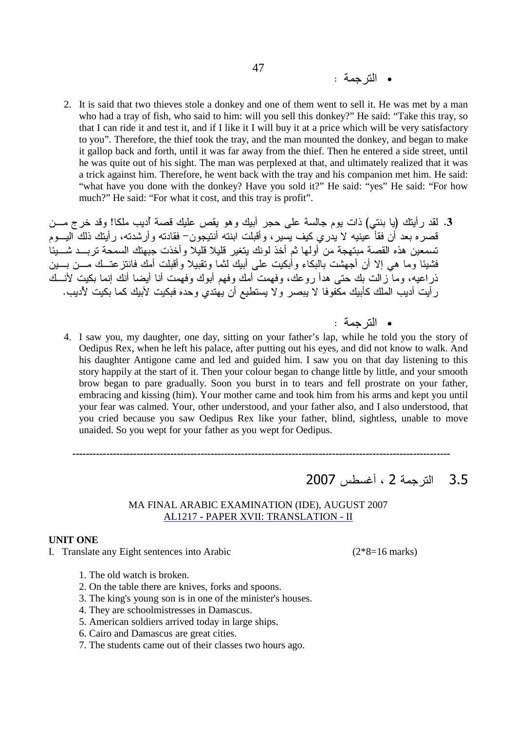- الترجمة :
- 2. It is said that two thieves stole a donkey and one of them went to sell it. He was met by a man who had a tray of fish, who said to him: will you sell this donkey?" He said: "Take this tray, so that I can ride it and test it, and if I like it I will buy it at a price which will be very satisfactory to you". Therefore, the thief took the tray, and the man mounted the donkey, and began to make it gallop back and forth, until it was far away from the thief. Then he entered a side street, until he was quite out of his sight. The man was perplexed at that, and ultimately realized that it was a trick against him. Therefore, he went back with the tray and his companion met him. He said: "what have you done with the donkey? Have you sold it?" He said: "yes" He said: "For how much?" He said: "For what it cost, and this tray is profit".

3. لقد رأينك (يا بنتي) ذات يوم جالسة على حجر أبيك وهو يقص عليك قصة أديب ملكا! وقد خرج مـــن قصره بعد أن فقأ عينيه لا يدري كيف يسير، وأقبلت ابنته أنتيجون– فقادته وأرشدته، رأيتك ذلك اليـــوم تسمعين هذه القصة مبتهجة من أولـها ثم أخذ لونك يتغير قليلا قليلا وأخذت جبهتك السمحة تربــد شــــيئا فشيئا وما هي إلا أن أجهشت بالبكاء وأبكيت على أبيك لثما وتقبيلا وأقبلت أمك فانتزعتــك مـــن بــــين ذراعيه، وما زالت بك حتى هدأ روعك، وفهمت أمك وفهم أبوك وفهمت أنا أيضا أنك إنما بكيت لأنــك ر أيت أديب الملك كأبيك مكفوفا لا يبصر ولا يستطيع أن يهتدي وحده فبكيت لأبيك كما بكيت لأديب.

- الترجمة :
- 4. I saw you, my daughter, one day, sitting on your father's lap, while he told you the story of Oedipus Rex, when he left his palace, after putting out his eyes, and did not know to walk. And his daughter Antigone came and led and guided him. I saw you on that day listening to this story happily at the start of it. Then your colour began to change little by little, and your smooth brow began to pare gradually. Soon you burst in to tears and fell prostrate on your father, embracing and kissing (him). Your mother came and took him from his arms and kept you until your fear was calmed. Your, other understood, and your father also, and I also understood, that you cried because you saw Oedipus Rex like your father, blind, sightless, unable to move unaided. So you wept for your father as you wept for Oedipus.
	- 3.5 الترجمة 2 ، أغسطس 2007

### MA FINAL ARABIC EXAMINATION (IDE), AUGUST 2007 AL1217 - PAPER XVII: TRANSLATION - II

----------------------------------------------------------------------------------------------------------------

### **UNIT ONE**

I. Translate any Eight sentences into Arabic  $(2*8=16 \text{ marks})$ 

- 1. The old watch is broken.
- 2. On the table there are knives, forks and spoons.
- 3. The king's young son is in one of the minister's houses.
- 4. They are schoolmistresses in Damascus.
- 5. American soldiers arrived today in large ships.
- 6. Cairo and Damascus are great cities.
- 7. The students came out of their classes two hours ago.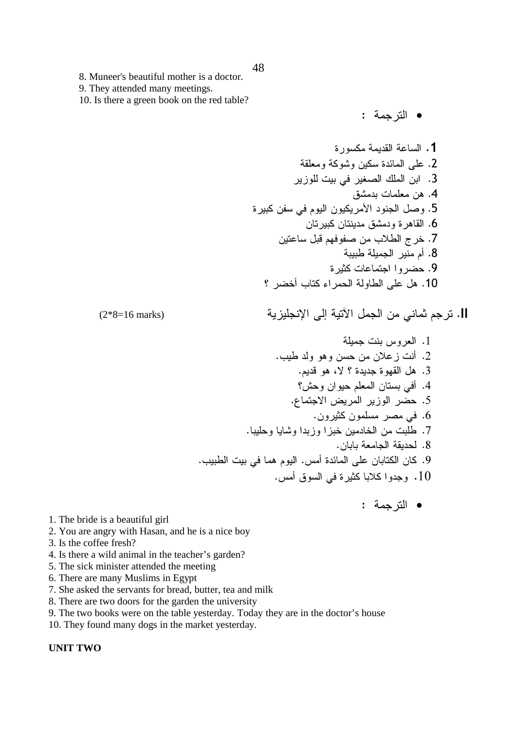- 8. Muneer's beautiful mother is a doctor.
- 9. They attended many meetings.

10. Is there a green book on the red table?

• الترجمة :

ll. ترجم ثماني من الجمل الآتية إلى الإنجليزية

$$
(2*8=16 \text{ marks})
$$

• الترجمة :

- 1. The bride is a beautiful girl
- 2. You are angry with Hasan, and he is a nice boy
- 3. Is the coffee fresh?
- 4. Is there a wild animal in the teacher's garden?
- 5. The sick minister attended the meeting
- 6. There are many Muslims in Egypt
- 7. She asked the servants for bread, butter, tea and milk
- 8. There are two doors for the garden the university
- 9. The two books were on the table yesterday. Today they are in the doctor's house
- 10. They found many dogs in the market yesterday.

### **UNIT TWO**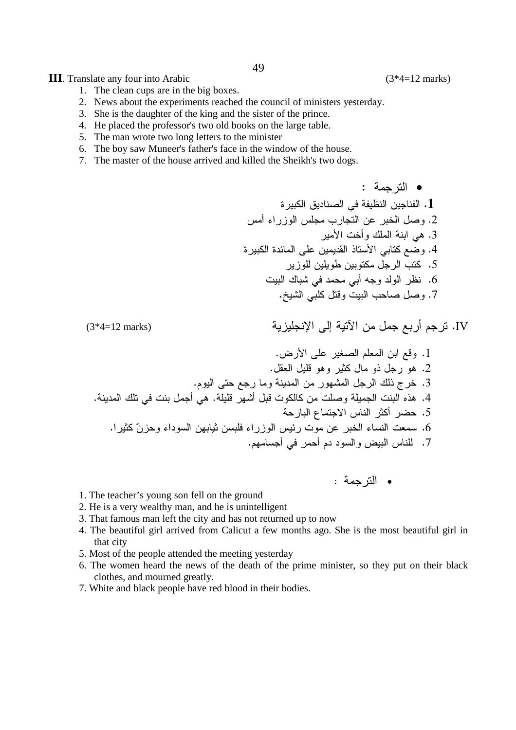**III**. Translate any four into Arabic

- 2. News about the experiments reached the council of ministers vesterday.
- 3. She is the daughter of the king and the sister of the prince.
- 4. He placed the professor's two old books on the large table.
- 5. The man wrote two long letters to the minister
- 6. The boy saw Muneer's father's face in the window of the house.
- 7. The master of the house arrived and killed the Sheikh's two dogs.
	- الترجمة : 1. الفناجين النظيفة في الصناديق الكبير ة 2. وصل الخبر عن التجارب مجلس الوزراء أمس 3. هي ابنة الملك وأخت الأمير 4. وضع كتابي الأستاذ القديمين على المائدة الكبيرة 5. كتب الرجل مكتوبين طويلين للوزير 6. نظر الولد وجه أبي محمد في شباك البيت 7. وصل صاحب البيت وقتل كلبي الشيخ.

IV. ترجم أربع جمل من الآتية إلى الإنجليزية

1. وقع ابن المعلم الصغير على الأرض. 2. هو رجل ذو مال كثير وهو قلبل العقل. 3. خرج ذلك الرجل المشهور من المدينة وما رجع حتى اليوم. 4. هذه البنت الجميلة وصلت من كالكوت قبل أشهر قليلة. هي أجمل بنت في تلك المدينة. 5. حضر أكثر الناس الاجتماع البارحة 6. سمعت النساء الخبر عن موت رئيس الوزراء فلبسن ثيابهن السوداء وحزنّ كثيرا. 7. للناس البيض والسود دم أحمر في أجسامهم.

• الترجمة :

- 1. The teacher's young son fell on the ground
- 2. He is a very wealthy man, and he is unintelligent
- 3. That famous man left the city and has not returned up to now
- 4. The beautiful girl arrived from Calicut a few months ago. She is the most beautiful girl in that city
- 5. Most of the people attended the meeting yesterday
- 6. The women heard the news of the death of the prime minister, so they put on their black clothes, and mourned greatly.
- 7. White and black people have red blood in their bodies.

 $(3*4=12 \text{ marks})$ 

 $(3*4=12 \text{ marks})$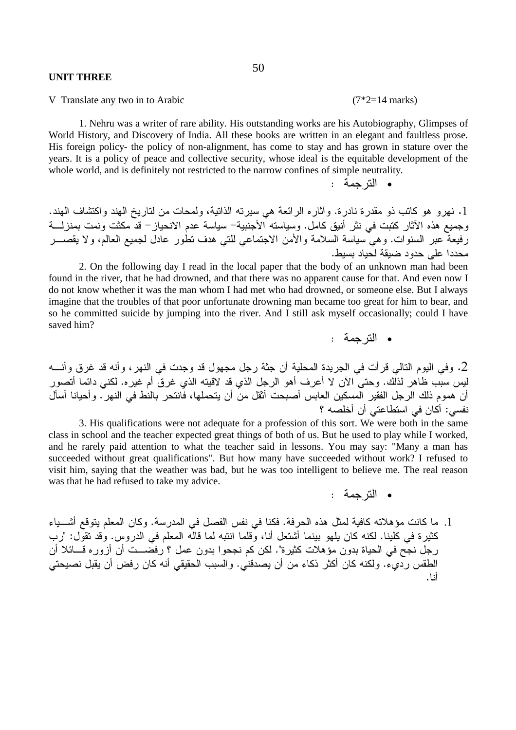### **UNIT THREE**

V Translate any two in to Arabic  $(7 \times 2) = 14$  marks)

 1. Nehru was a writer of rare ability. His outstanding works are his Autobiography, Glimpses of World History, and Discovery of India. All these books are written in an elegant and faultless prose. His foreign policy- the policy of non-alignment, has come to stay and has grown in stature over the years. It is a policy of peace and collective security, whose ideal is the equitable development of the whole world, and is definitely not restricted to the narrow confines of simple neutrality.

• الترجمة :

1. نهرو هو كاتب ذو مقدرة نادرة. وأثاره الرائعة هي سيرته الذاتية، ولمحات من لتاريخ الـهند واكتشاف الـهند. وجميع هذه الأثار كتبت في نثر أنيق كامل. وسياسته الأجنبية– سياسة عدم الانحياز – قد مكثت ونمت بمنزلــــة رفيعة عبر السنوات. وهي سياسة السلامة والأمن الاجتماعي للتي هدف تطور عادل لجميع العالم، ولا يقصــــر محددا على حدود ضبيقة لحياد بسيط.

2. On the following day I read in the local paper that the body of an unknown man had been found in the river, that he had drowned, and that there was no apparent cause for that. And even now I do not know whether it was the man whom I had met who had drowned, or someone else. But I always imagine that the troubles of that poor unfortunate drowning man became too great for him to bear, and so he committed suicide by jumping into the river. And I still ask myself occasionally; could I have saved him?

• الترجمة :

2. وفي اليوم التالي قرأت في الجريدة المحلية أن جثة رجل مجهول قد وجدت في النهر ، وأنه قد غرق وأنــــه ليس سبب ظاهر لذلك. وحتى الأن لا أعرف أهو الرجل الذي قد لاقيته الذي غرق أم غيره. لكني دائما أتصور أن هموم ذلك الرجل الفقير المسكين العابس أصبحت أثقل من أن يتحملها، فانتحر بالنط في النهر . وأحيانا أسأل نفسي: أكان في استطاعتي أن أخلصه ؟

3. His qualifications were not adequate for a profession of this sort. We were both in the same class in school and the teacher expected great things of both of us. But he used to play while I worked, and he rarely paid attention to what the teacher said in lessons. You may say: "Many a man has succeeded without great qualifications". But how many have succeeded without work? I refused to visit him, saying that the weather was bad, but he was too intelligent to believe me. The real reason was that he had refused to take my advice.

- الترجمة :
- 1. ما كانت مؤهلاته كافية لمثل هذه الحرفة. فكنا في نفس الفصل في المدرسة. وكان المعلم يتوقع أشـــياء كثيرة في كلينا. لكنه كان يلهو بينما أشتعل أنا، وقلما انتبه لما قاله المعلم في الدروس. وقد تقول: "رب رجل نجح في الحياة بدون مؤهلات كثيرة". لكن كم نجحوا بدون عمل ؟ رفضـــت أن أزوره قـــائلا أن الطقس رديء. ولكنه كان أكثر ذكاء من أن يصدقني. والسبب الحقيقي أنه كان رفض أن يقبل نصيحتي أنـا.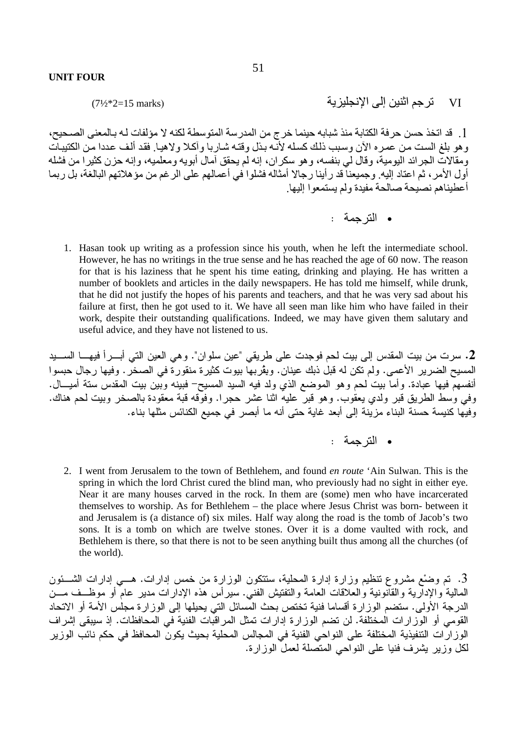$(7\frac{1}{2}*2=15 \text{ marks})$ 

[ . قد اتخذ حسن حرفة الكتابة منذ شبابه حينما خرج من المدرسة المتوسطة لكنه لا مؤلفات لـه بـالمعنى الصـحيح، و هو بلغ الست من عمر ه الآن وسبب ذلك كسله لأنّـه بذل و قتـه شـار بـا و آكـلا و لاهبـا. فقد ألف عددا من الكتببات ومقالات الجرائد اليومية، وقال لمي بنفسه، وهو سكران، إنه لم يحقق أمال أبويه ومعلميه، وإنه حزن كثيرا من فشله أول الأمر ، ثمَّ اعتاد إليه. وجميعناً قد رأينا رجالا أمثاله فشلوا في أعمالهم على الرغم من مؤهلاتهم البالغة، بل ربما أعطيناهم نصبحة صالحة مفيدة ولم يستمعوا إليها.

• الترجمة :

تر جم اثنين إلى الانجليز ية

VI

1. Hasan took up writing as a profession since his youth, when he left the intermediate school. However, he has no writings in the true sense and he has reached the age of 60 now. The reason for that is his laziness that he spent his time eating, drinking and playing. He has written a number of booklets and articles in the daily newspapers. He has told me himself, while drunk, that he did not justify the hopes of his parents and teachers, and that he was very sad about his failure at first, then he got used to it. We have all seen man like him who have failed in their work, despite their outstanding qualifications. Indeed, we may have given them salutary and useful advice, and they have not listened to us.

2. سرت من بيت المقدس إلى بيت لحم فوجدت على طريقي "عين سلوان". وهي العين التي أبـــراً فيهـــا الســــيد المسيح الضرير الأعمى. ولم تكن له قبل ذبك عينان. وبِقْربها بيوت كثيرة منقورةً في الصخر . وفيها رجال حبسوا أنفسهمَّ فيها عبادة. وأما بيت لحم وهو الموضع الذي ولد فيه السيد المسيح– فبينه وبَّين بيت المقدس ستة أميـــال. وفي وسط الطريق قبر ولدى يعقوب. وهو قبرٌ عليهُ اثنا عشر حجرًٍا. وفوَّقه قبة معقودة بالصخر وبيت لحم هناك. وفيها كنيسة حسنة البناء مزينة إلى أبعد غاية حتى أنه ما أبصر في جميع الكنائس مثلها بناء.

2. I went from Jerusalem to the town of Bethlehem, and found *en route* 'Ain Sulwan. This is the spring in which the lord Christ cured the blind man, who previously had no sight in either eye. Near it are many houses carved in the rock. In them are (some) men who have incarcerated themselves to worship. As for Bethlehem - the place where Jesus Christ was born- between it and Jerusalem is (a distance of) six miles. Half way along the road is the tomb of Jacob's two sons. It is a tomb on which are twelve stones. Over it is a dome vaulted with rock, and Bethlehem is there, so that there is not to be seen anything built thus among all the churches (of the world).

3. تم وضْع مشروع نتظيم وزارة إدارة المحلية، ستتكون الوزارة من خمس إدارات. هـــي إدارات الشـــئون المالية والإدآرية والقانونية والعلاقات العامة والتفتيش الفني. سيرأس هذه الإدارات مدير عام أو موظــف مـــن الدرجة الأولى. سنضم الوزارة أقساما فنية تختص بحث المسائل التي يحيلها إلى الوزارة مجلس الأمة أو الاتحاد القومي أو الوزارات المختلفة. لن تضم الوزارة إدارات تمثل المراقبات الفنية في المحافظات. إذ سيبقى إشراف الوز ارَّ التنفيذية المختلفة على النواحي الفنية في المجالس المحلية بحيث يكونِّ المحافظ في حكم نائب الوزير لكل وزير يشرف فنيا على النواحي المتصلة لعمل الوزارة.

<sup>•</sup> الترحمة :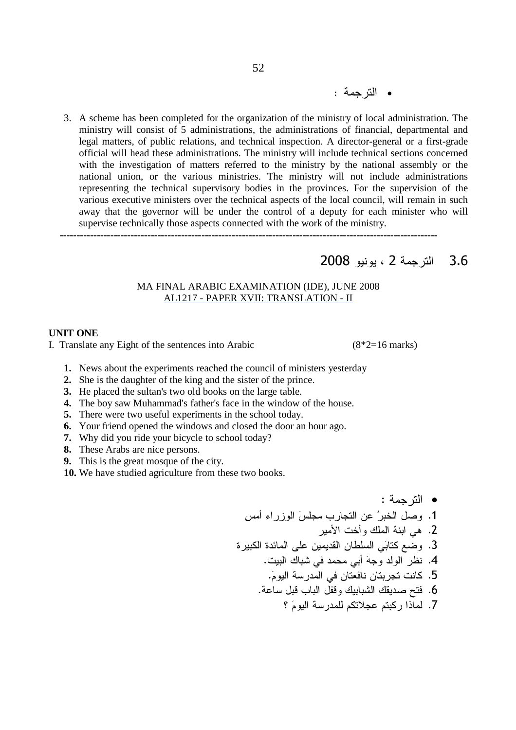3. A scheme has been completed for the organization of the ministry of local administration. The ministry will consist of 5 administrations, the administrations of financial, departmental and legal matters, of public relations, and technical inspection. A director-general or a first-grade official will head these administrations. The ministry will include technical sections concerned with the investigation of matters referred to the ministry by the national assembly or the national union, or the various ministries. The ministry will not include administrations representing the technical supervisory bodies in the provinces. For the supervision of the various executive ministers over the technical aspects of the local council, will remain in such away that the governor will be under the control of a deputy for each minister who will supervise technically those aspects connected with the work of the ministry.

----------------------------------------------------------------------------------------------------------------

# 3.6 الترجمة 2 ، يونيو 2008

### MA FINAL ARABIC EXAMINATION (IDE), JUNE 2008 AL1217 - PAPER XVII: TRANSLATION - II

### **UNIT ONE**

I. Translate any Eight of the sentences into Arabic  $(8^*2=16 \text{ marks})$ 

- **1.** News about the experiments reached the council of ministers yesterday
- **2.** She is the daughter of the king and the sister of the prince.
- **3.** He placed the sultan's two old books on the large table.
- **4.** The boy saw Muhammad's father's face in the window of the house.
- **5.** There were two useful experiments in the school today.
- **6.** Your friend opened the windows and closed the door an hour ago.
- **7.** Why did you ride your bicycle to school today?
- **8.** These Arabs are nice persons.
- **9.** This is the great mosque of the city.
- **10.** We have studied agriculture from these two books.

: - • X4 N 
 W4! % 8 e\* , .1 \*
 ?! - '; .2 & 1 !8 2 X /! 'W & 7> .3 . ? < ' ' W@

 D .4 .W9
 - ' & .5 .-8 ,3 % ,-3
 ? < ?2 K .6 k W9
 -! 9&)8 9& : .7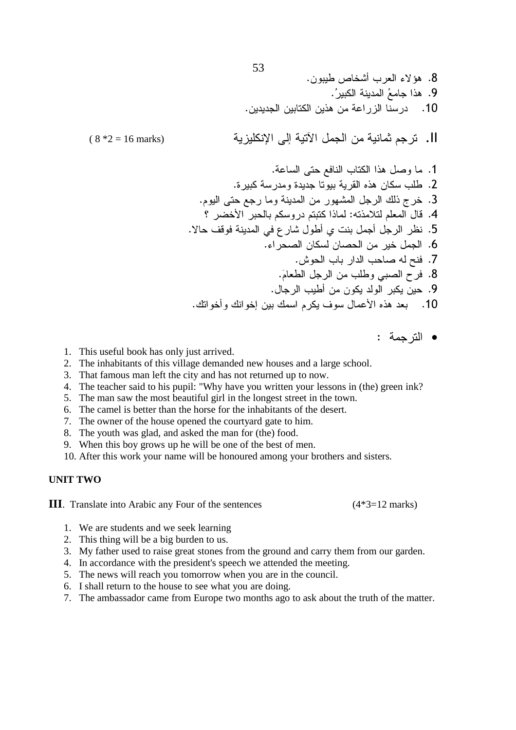.
/ E \*< % N+a; .8 .e& e7 :; .9 . & :; -8 .10

##&-'( 45 -#1 2 -#' 7 .II

 $(8 * 2 = 16$  marks)

. -8 7 % & :; ,
 .1 . & - -2 Q:; & %!/ .2 .9
 7 - 
< , ?: H\* .3 k >\* 9&
 9& : :@:) 9! , 3 .4 .+ (3
 - ' < ,
/ C  , , D .5 .N & \* , .6 .b
 % % @ K .7 .W9 / , %!/
 ' Z .8 ., %/ 
& 
 & .9 .?
\*
 ?
\* ? 9& (
 , 8 Q:; .10

• الترجمة :

- 1. This useful book has only just arrived.
- 2. The inhabitants of this village demanded new houses and a large school.
- 3. That famous man left the city and has not returned up to now.
- 4. The teacher said to his pupil: "Why have you written your lessons in (the) green ink?
- 5. The man saw the most beautiful girl in the longest street in the town.
- 6. The camel is better than the horse for the inhabitants of the desert.
- 7. The owner of the house opened the courtyard gate to him.
- 8. The youth was glad, and asked the man for (the) food.
- 9. When this boy grows up he will be one of the best of men.
- 10. After this work your name will be honoured among your brothers and sisters.

### **UNIT TWO**

**III**. Translate into Arabic any Four of the sentences (4\*3=12 marks)

- 1. We are students and we seek learning
- 2. This thing will be a big burden to us.
- 3. My father used to raise great stones from the ground and carry them from our garden.
- 4. In accordance with the president's speech we attended the meeting.
- 5. The news will reach you tomorrow when you are in the council.
- 6. I shall return to the house to see what you are doing.
- 7. The ambassador came from Europe two months ago to ask about the truth of the matter.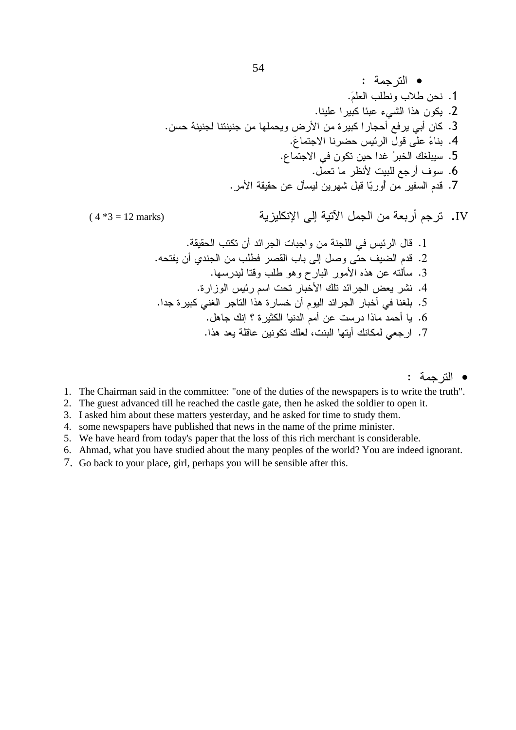• الترجمة : 1. نحن طلاب ونطلب العلمَ. 2. يكون هذا الشيء عبئا كبيرا علينا. 3. كان أبي يرفع أحجار اكبيرة من الأرض ويحملها من جنينتنا لجنينة حسن. 4. بناءً على قول الرئيس حضرنا الاجتماعَ. 5. سيبلغك الخبرُ غدا حين تكون في الاجتماع. 6. سوف أرجع للبيت لأنظر ما تعمَّل. 7. قدم السفير ً من أوربّا قبل شهر بن ليسأل عن حقيقة الأمر .

 $(4 *3 = 12$  marks)

IV. ترجم أربعة من الجمل الآتية إلى الإنكليزية

• الترجمة :

- 1. The Chairman said in the committee: "one of the duties of the newspapers is to write the truth".
- 2. The guest advanced till he reached the castle gate, then he asked the soldier to open it.
- 3. I asked him about these matters yesterday, and he asked for time to study them.
- 4. some newspapers have published that news in the name of the prime minister.
- 5. We have heard from today's paper that the loss of this rich merchant is considerable.
- 6. Ahmad, what you have studied about the many peoples of the world? You are indeed ignorant.
- 7. Go back to your place, girl, perhaps you will be sensible after this.